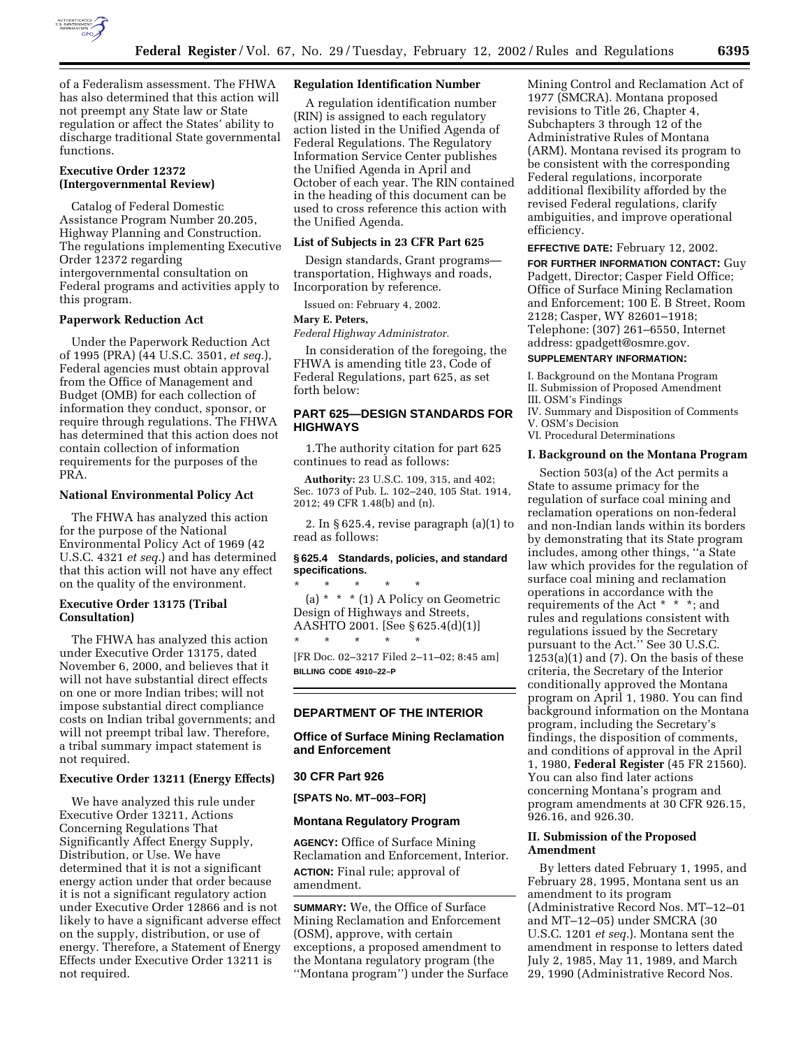

of a Federalism assessment. The FHWA has also determined that this action will not preempt any State law or State regulation or affect the States' ability to discharge traditional State governmental functions.

# **Executive Order 12372 (Intergovernmental Review)**

Catalog of Federal Domestic Assistance Program Number 20.205, Highway Planning and Construction. The regulations implementing Executive Order 12372 regarding intergovernmental consultation on Federal programs and activities apply to this program.

# **Paperwork Reduction Act**

Under the Paperwork Reduction Act of 1995 (PRA) (44 U.S.C. 3501, *et seq.*), Federal agencies must obtain approval from the Office of Management and Budget (OMB) for each collection of information they conduct, sponsor, or require through regulations. The FHWA has determined that this action does not contain collection of information requirements for the purposes of the PRA.

## **National Environmental Policy Act**

The FHWA has analyzed this action for the purpose of the National Environmental Policy Act of 1969 (42 U.S.C. 4321 *et seq.*) and has determined that this action will not have any effect on the quality of the environment.

# **Executive Order 13175 (Tribal Consultation)**

The FHWA has analyzed this action under Executive Order 13175, dated November 6, 2000, and believes that it will not have substantial direct effects on one or more Indian tribes; will not impose substantial direct compliance costs on Indian tribal governments; and will not preempt tribal law. Therefore, a tribal summary impact statement is not required.

# **Executive Order 13211 (Energy Effects)**

We have analyzed this rule under Executive Order 13211, Actions Concerning Regulations That Significantly Affect Energy Supply, Distribution, or Use. We have determined that it is not a significant energy action under that order because it is not a significant regulatory action under Executive Order 12866 and is not likely to have a significant adverse effect on the supply, distribution, or use of energy. Therefore, a Statement of Energy Effects under Executive Order 13211 is not required.

#### **Regulation Identification Number**

A regulation identification number (RIN) is assigned to each regulatory action listed in the Unified Agenda of Federal Regulations. The Regulatory Information Service Center publishes the Unified Agenda in April and October of each year. The RIN contained in the heading of this document can be used to cross reference this action with the Unified Agenda.

## **List of Subjects in 23 CFR Part 625**

Design standards, Grant programs transportation, Highways and roads, Incorporation by reference.

Issued on: February 4, 2002.

## **Mary E. Peters,**

*Federal Highway Administrator.*

In consideration of the foregoing, the FHWA is amending title 23, Code of Federal Regulations, part 625, as set forth below:

# **PART 625—DESIGN STANDARDS FOR HIGHWAYS**

1.The authority citation for part 625 continues to read as follows:

**Authority:** 23 U.S.C. 109, 315, and 402; Sec. 1073 of Pub. L. 102–240, 105 Stat. 1914, 2012; 49 CFR 1.48(b) and (n).

2. In § 625.4, revise paragraph (a)(1) to read as follows:

# **§ 625.4 Standards, policies, and standard specifications.**

\* \* \* \* \* (a) \* \* \* (1) A Policy on Geometric Design of Highways and Streets, AASHTO 2001. [See § 625.4(d)(1)] \* \* \* \* \*

[FR Doc. 02–3217 Filed 2–11–02; 8:45 am] **BILLING CODE 4910–22–P**

# **DEPARTMENT OF THE INTERIOR**

**Office of Surface Mining Reclamation and Enforcement**

#### **30 CFR Part 926**

**[SPATS No. MT–003–FOR]**

# **Montana Regulatory Program**

**AGENCY:** Office of Surface Mining Reclamation and Enforcement, Interior. **ACTION:** Final rule; approval of amendment.

**SUMMARY:** We, the Office of Surface Mining Reclamation and Enforcement (OSM), approve, with certain exceptions, a proposed amendment to the Montana regulatory program (the ''Montana program'') under the Surface Mining Control and Reclamation Act of 1977 (SMCRA). Montana proposed revisions to Title 26, Chapter 4, Subchapters 3 through 12 of the Administrative Rules of Montana (ARM). Montana revised its program to be consistent with the corresponding Federal regulations, incorporate additional flexibility afforded by the revised Federal regulations, clarify ambiguities, and improve operational efficiency.

## **EFFECTIVE DATE:** February 12, 2002.

**FOR FURTHER INFORMATION CONTACT:** Guy Padgett, Director; Casper Field Office; Office of Surface Mining Reclamation and Enforcement; 100 E. B Street, Room 2128; Casper, WY 82601–1918; Telephone: (307) 261–6550, Internet address: gpadgett@osmre.gov.

#### **SUPPLEMENTARY INFORMATION:**

I. Background on the Montana Program

- II. Submission of Proposed Amendment III. OSM's Findings
- IV. Summary and Disposition of Comments
- V. OSM's Decision
- VI. Procedural Determinations

#### **I. Background on the Montana Program**

Section 503(a) of the Act permits a State to assume primacy for the regulation of surface coal mining and reclamation operations on non-federal and non-Indian lands within its borders by demonstrating that its State program includes, among other things, ''a State law which provides for the regulation of surface coal mining and reclamation operations in accordance with the requirements of the Act \* \* \*; and rules and regulations consistent with regulations issued by the Secretary pursuant to the Act.'' See 30 U.S.C.  $1253(a)(1)$  and  $(7)$ . On the basis of these criteria, the Secretary of the Interior conditionally approved the Montana program on April 1, 1980. You can find background information on the Montana program, including the Secretary's findings, the disposition of comments, and conditions of approval in the April 1, 1980, **Federal Register** (45 FR 21560). You can also find later actions concerning Montana's program and program amendments at 30 CFR 926.15, 926.16, and 926.30.

## **II. Submission of the Proposed Amendment**

By letters dated February 1, 1995, and February 28, 1995, Montana sent us an amendment to its program (Administrative Record Nos. MT–12–01 and MT–12–05) under SMCRA (30 U.S.C. 1201 *et seq.*). Montana sent the amendment in response to letters dated July 2, 1985, May 11, 1989, and March 29, 1990 (Administrative Record Nos.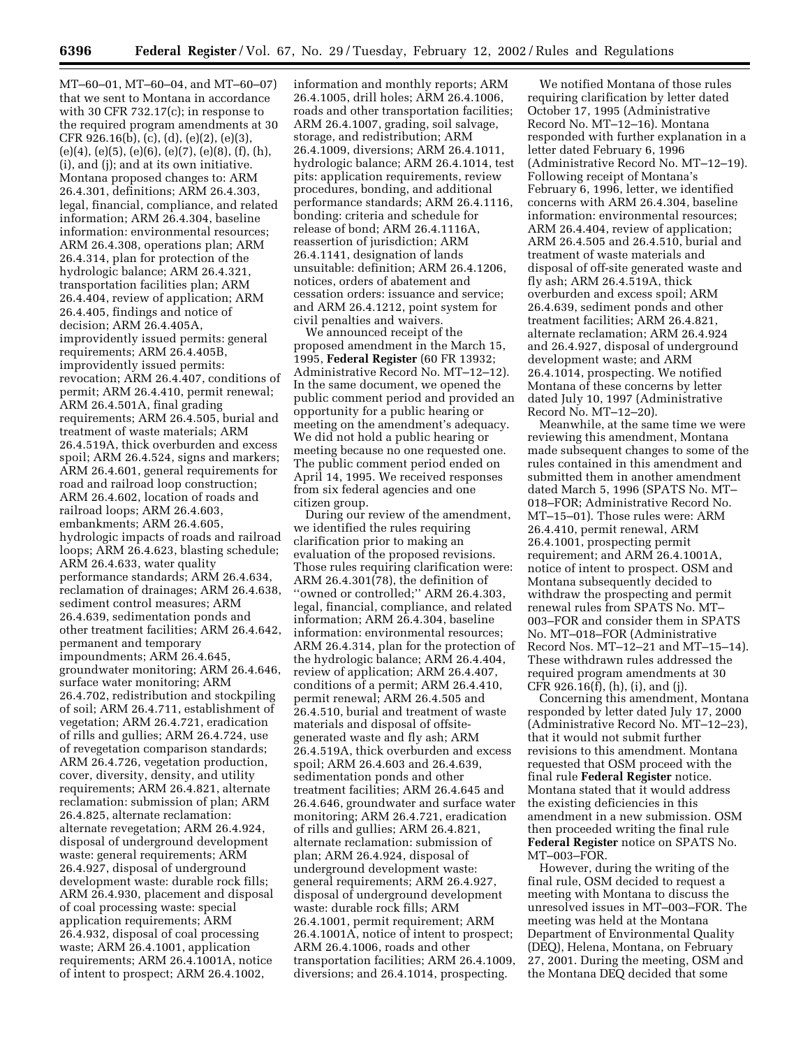MT–60–01, MT–60–04, and MT–60–07) that we sent to Montana in accordance with 30 CFR 732.17(c); in response to the required program amendments at 30 CFR 926.16(b), (c), (d), (e)(2), (e)(3),  $(e)(4)$ ,  $(e)(5)$ ,  $(e)(6)$ ,  $(e)(7)$ ,  $(e)(8)$ ,  $(f)$ ,  $(h)$ , (i), and (j); and at its own initiative. Montana proposed changes to: ARM 26.4.301, definitions; ARM 26.4.303, legal, financial, compliance, and related information; ARM 26.4.304, baseline information: environmental resources; ARM 26.4.308, operations plan; ARM 26.4.314, plan for protection of the hydrologic balance; ARM 26.4.321, transportation facilities plan; ARM 26.4.404, review of application; ARM 26.4.405, findings and notice of decision; ARM 26.4.405A, improvidently issued permits: general requirements; ARM 26.4.405B, improvidently issued permits: revocation; ARM 26.4.407, conditions of permit; ARM 26.4.410, permit renewal; ARM 26.4.501A, final grading requirements; ARM 26.4.505, burial and treatment of waste materials; ARM 26.4.519A, thick overburden and excess spoil; ARM 26.4.524, signs and markers; ARM 26.4.601, general requirements for road and railroad loop construction; ARM 26.4.602, location of roads and railroad loops; ARM 26.4.603, embankments; ARM 26.4.605, hydrologic impacts of roads and railroad loops; ARM 26.4.623, blasting schedule; ARM 26.4.633, water quality performance standards; ARM 26.4.634, reclamation of drainages; ARM 26.4.638, sediment control measures; ARM 26.4.639, sedimentation ponds and other treatment facilities; ARM 26.4.642, permanent and temporary impoundments; ARM 26.4.645, groundwater monitoring; ARM 26.4.646, surface water monitoring; ARM 26.4.702, redistribution and stockpiling of soil; ARM 26.4.711, establishment of vegetation; ARM 26.4.721, eradication of rills and gullies; ARM 26.4.724, use of revegetation comparison standards; ARM 26.4.726, vegetation production, cover, diversity, density, and utility requirements; ARM 26.4.821, alternate reclamation: submission of plan; ARM 26.4.825, alternate reclamation: alternate revegetation; ARM 26.4.924, disposal of underground development waste: general requirements; ARM 26.4.927, disposal of underground development waste: durable rock fills; ARM 26.4.930, placement and disposal of coal processing waste: special application requirements; ARM 26.4.932, disposal of coal processing waste; ARM 26.4.1001, application requirements; ARM 26.4.1001A, notice of intent to prospect; ARM 26.4.1002,

information and monthly reports; ARM 26.4.1005, drill holes; ARM 26.4.1006, roads and other transportation facilities; ARM 26.4.1007, grading, soil salvage, storage, and redistribution; ARM 26.4.1009, diversions; ARM 26.4.1011, hydrologic balance; ARM 26.4.1014, test pits: application requirements, review procedures, bonding, and additional performance standards; ARM 26.4.1116, bonding: criteria and schedule for release of bond; ARM 26.4.1116A, reassertion of jurisdiction; ARM 26.4.1141, designation of lands unsuitable: definition; ARM 26.4.1206, notices, orders of abatement and cessation orders: issuance and service; and ARM 26.4.1212, point system for civil penalties and waivers.

We announced receipt of the proposed amendment in the March 15, 1995, **Federal Register** (60 FR 13932; Administrative Record No. MT–12–12). In the same document, we opened the public comment period and provided an opportunity for a public hearing or meeting on the amendment's adequacy. We did not hold a public hearing or meeting because no one requested one. The public comment period ended on April 14, 1995. We received responses from six federal agencies and one citizen group.

During our review of the amendment, we identified the rules requiring clarification prior to making an evaluation of the proposed revisions. Those rules requiring clarification were: ARM 26.4.301(78), the definition of "owned or controlled;" ARM 26.4.303, legal, financial, compliance, and related information; ARM 26.4.304, baseline information: environmental resources; ARM 26.4.314, plan for the protection of the hydrologic balance; ARM 26.4.404, review of application; ARM 26.4.407, conditions of a permit; ARM 26.4.410, permit renewal; ARM 26.4.505 and 26.4.510, burial and treatment of waste materials and disposal of offsitegenerated waste and fly ash; ARM 26.4.519A, thick overburden and excess spoil; ARM 26.4.603 and 26.4.639, sedimentation ponds and other treatment facilities; ARM 26.4.645 and 26.4.646, groundwater and surface water monitoring; ARM 26.4.721, eradication of rills and gullies; ARM 26.4.821, alternate reclamation: submission of plan; ARM 26.4.924, disposal of underground development waste: general requirements; ARM 26.4.927, disposal of underground development waste: durable rock fills; ARM 26.4.1001, permit requirement; ARM 26.4.1001A, notice of intent to prospect; ARM 26.4.1006, roads and other transportation facilities; ARM 26.4.1009, diversions; and 26.4.1014, prospecting.

We notified Montana of those rules requiring clarification by letter dated October 17, 1995 (Administrative Record No. MT–12–16). Montana responded with further explanation in a letter dated February 6, 1996 (Administrative Record No. MT–12–19). Following receipt of Montana's February 6, 1996, letter, we identified concerns with ARM 26.4.304, baseline information: environmental resources; ARM 26.4.404, review of application; ARM 26.4.505 and 26.4.510, burial and treatment of waste materials and disposal of off-site generated waste and fly ash; ARM 26.4.519A, thick overburden and excess spoil; ARM 26.4.639, sediment ponds and other treatment facilities; ARM 26.4.821, alternate reclamation; ARM 26.4.924 and 26.4.927, disposal of underground development waste; and ARM 26.4.1014, prospecting. We notified Montana of these concerns by letter dated July 10, 1997 (Administrative Record No. MT–12–20).

Meanwhile, at the same time we were reviewing this amendment, Montana made subsequent changes to some of the rules contained in this amendment and submitted them in another amendment dated March 5, 1996 (SPATS No. MT– 018–FOR; Administrative Record No. MT–15–01). Those rules were: ARM 26.4.410, permit renewal, ARM 26.4.1001, prospecting permit requirement; and ARM 26.4.1001A, notice of intent to prospect. OSM and Montana subsequently decided to withdraw the prospecting and permit renewal rules from SPATS No. MT– 003–FOR and consider them in SPATS No. MT–018–FOR (Administrative Record Nos. MT–12–21 and MT–15–14). These withdrawn rules addressed the required program amendments at 30 CFR 926.16(f), (h), (i), and (j).

Concerning this amendment, Montana responded by letter dated July 17, 2000 (Administrative Record No. MT–12–23), that it would not submit further revisions to this amendment. Montana requested that OSM proceed with the final rule **Federal Register** notice. Montana stated that it would address the existing deficiencies in this amendment in a new submission. OSM then proceeded writing the final rule **Federal Register** notice on SPATS No. MT–003–FOR.

However, during the writing of the final rule, OSM decided to request a meeting with Montana to discuss the unresolved issues in MT–003–FOR. The meeting was held at the Montana Department of Environmental Quality (DEQ), Helena, Montana, on February 27, 2001. During the meeting, OSM and the Montana DEQ decided that some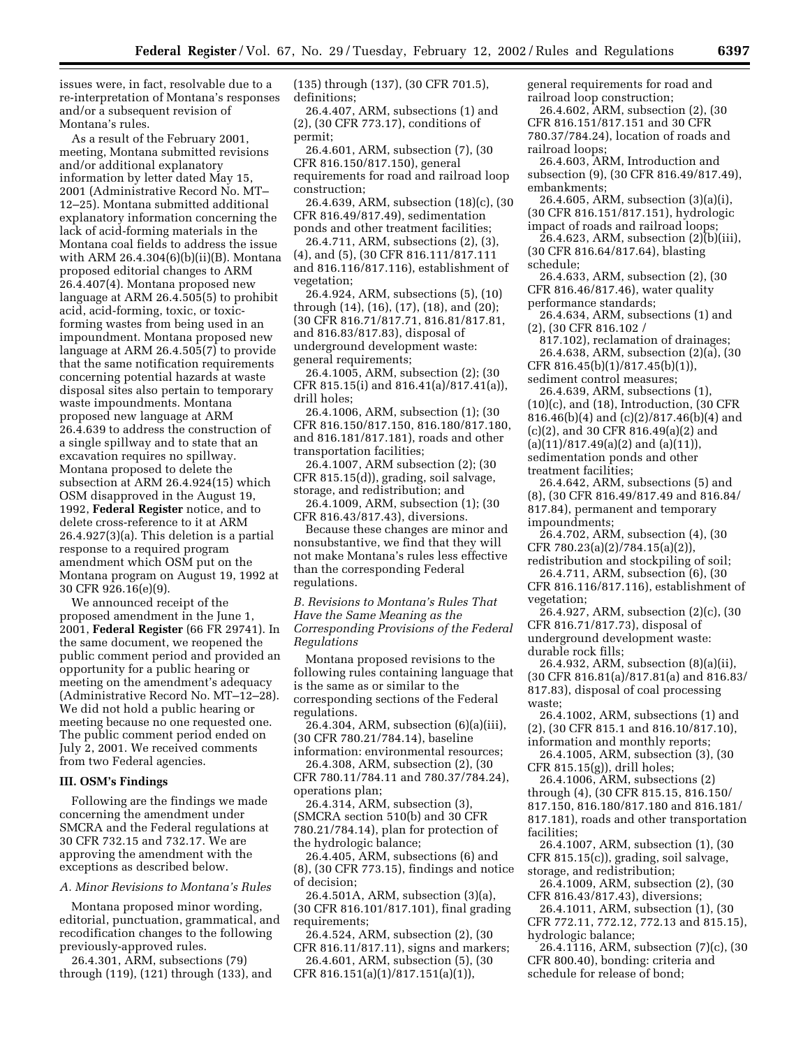issues were, in fact, resolvable due to a re-interpretation of Montana's responses and/or a subsequent revision of Montana's rules.

As a result of the February 2001, meeting, Montana submitted revisions and/or additional explanatory information by letter dated May 15, 2001 (Administrative Record No. MT– 12–25). Montana submitted additional explanatory information concerning the lack of acid-forming materials in the Montana coal fields to address the issue with ARM 26.4.304(6)(b)(ii)(B). Montana proposed editorial changes to ARM 26.4.407(4). Montana proposed new language at ARM 26.4.505(5) to prohibit acid, acid-forming, toxic, or toxicforming wastes from being used in an impoundment. Montana proposed new language at ARM 26.4.505(7) to provide that the same notification requirements concerning potential hazards at waste disposal sites also pertain to temporary waste impoundments. Montana proposed new language at ARM 26.4.639 to address the construction of a single spillway and to state that an excavation requires no spillway. Montana proposed to delete the subsection at ARM 26.4.924(15) which OSM disapproved in the August 19, 1992, **Federal Register** notice, and to delete cross-reference to it at ARM 26.4.927(3)(a). This deletion is a partial response to a required program amendment which OSM put on the Montana program on August 19, 1992 at 30 CFR 926.16(e)(9).

We announced receipt of the proposed amendment in the June 1, 2001, **Federal Register** (66 FR 29741). In the same document, we reopened the public comment period and provided an opportunity for a public hearing or meeting on the amendment's adequacy (Administrative Record No. MT–12–28). We did not hold a public hearing or meeting because no one requested one. The public comment period ended on July 2, 2001. We received comments from two Federal agencies.

#### **III. OSM's Findings**

Following are the findings we made concerning the amendment under SMCRA and the Federal regulations at 30 CFR 732.15 and 732.17. We are approving the amendment with the exceptions as described below.

*A. Minor Revisions to Montana's Rules*

Montana proposed minor wording, editorial, punctuation, grammatical, and recodification changes to the following previously-approved rules.

26.4.301, ARM, subsections (79) through (119), (121) through (133), and (135) through (137), (30 CFR 701.5), definitions;

26.4.407, ARM, subsections (1) and (2), (30 CFR 773.17), conditions of permit;

26.4.601, ARM, subsection (7), (30 CFR 816.150/817.150), general requirements for road and railroad loop construction;

26.4.639, ARM, subsection (18)(c), (30 CFR 816.49/817.49), sedimentation ponds and other treatment facilities;

26.4.711, ARM, subsections (2), (3), (4), and (5), (30 CFR 816.111/817.111 and 816.116/817.116), establishment of vegetation;

26.4.924, ARM, subsections (5), (10) through (14), (16), (17), (18), and (20); (30 CFR 816.71/817.71, 816.81/817.81, and 816.83/817.83), disposal of underground development waste: general requirements;

26.4.1005, ARM, subsection (2); (30 CFR 815.15(i) and 816.41(a)/817.41(a)), drill holes;

26.4.1006, ARM, subsection (1); (30 CFR 816.150/817.150, 816.180/817.180, and 816.181/817.181), roads and other transportation facilities;

26.4.1007, ARM subsection (2); (30 CFR 815.15(d)), grading, soil salvage, storage, and redistribution; and

26.4.1009, ARM, subsection (1); (30 CFR 816.43/817.43), diversions.

Because these changes are minor and nonsubstantive, we find that they will not make Montana's rules less effective than the corresponding Federal regulations.

*B. Revisions to Montana's Rules That Have the Same Meaning as the Corresponding Provisions of the Federal Regulations*

Montana proposed revisions to the following rules containing language that is the same as or similar to the corresponding sections of the Federal regulations.

26.4.304, ARM, subsection (6)(a)(iii), (30 CFR 780.21/784.14), baseline information: environmental resources;

26.4.308, ARM, subsection (2), (30

CFR 780.11/784.11 and 780.37/784.24), operations plan;

26.4.314, ARM, subsection (3), (SMCRA section 510(b) and 30 CFR 780.21/784.14), plan for protection of the hydrologic balance;

26.4.405, ARM, subsections (6) and (8), (30 CFR 773.15), findings and notice of decision;

26.4.501A, ARM, subsection (3)(a), (30 CFR 816.101/817.101), final grading requirements;

26.4.524, ARM, subsection (2), (30 CFR 816.11/817.11), signs and markers;

26.4.601, ARM, subsection (5), (30 CFR 816.151(a)(1)/817.151(a)(1)),

general requirements for road and railroad loop construction;

26.4.602, ARM, subsection (2), (30 CFR 816.151/817.151 and 30 CFR 780.37/784.24), location of roads and railroad loops;

26.4.603, ARM, Introduction and subsection (9), (30 CFR 816.49/817.49), embankments;

26.4.605, ARM, subsection (3)(a)(i), (30 CFR 816.151/817.151), hydrologic impact of roads and railroad loops;

26.4.623, ARM, subsection (2)(b)(iii), (30 CFR 816.64/817.64), blasting schedule;

26.4.633, ARM, subsection (2), (30 CFR 816.46/817.46), water quality

performance standards; 26.4.634, ARM, subsections (1) and

(2), (30 CFR 816.102 /

817.102), reclamation of drainages; 26.4.638, ARM, subsection (2)(a), (30 CFR 816.45(b)(1)/817.45(b)(1)),

sediment control measures; 26.4.639, ARM, subsections (1),

 $(10)(c)$ , and  $(18)$ , Introduction,  $(30 \text{ CFR})$ 816.46(b)(4) and (c)(2)/817.46(b)(4) and (c)(2), and 30 CFR 816.49(a)(2) and (a)(11)/817.49(a)(2) and (a)(11)),

sedimentation ponds and other

treatment facilities;

26.4.642, ARM, subsections (5) and (8), (30 CFR 816.49/817.49 and 816.84/ 817.84), permanent and temporary impoundments;

26.4.702, ARM, subsection (4), (30 CFR 780.23(a)(2)/784.15(a)(2)),

redistribution and stockpiling of soil; 26.4.711, ARM, subsection (6), (30 CFR 816.116/817.116), establishment of

vegetation; 26.4.927, ARM, subsection (2)(c), (30

CFR 816.71/817.73), disposal of underground development waste: durable rock fills;

26.4.932, ARM, subsection (8)(a)(ii), (30 CFR 816.81(a)/817.81(a) and 816.83/ 817.83), disposal of coal processing waste;

26.4.1002, ARM, subsections (1) and (2), (30 CFR 815.1 and 816.10/817.10),

information and monthly reports;

26.4.1005, ARM, subsection (3), (30 CFR 815.15(g)), drill holes;

26.4.1006, ARM, subsections (2) through (4), (30 CFR 815.15, 816.150/

817.150, 816.180/817.180 and 816.181/

817.181), roads and other transportation facilities;

26.4.1007, ARM, subsection (1), (30 CFR 815.15(c)), grading, soil salvage, storage, and redistribution;

26.4.1009, ARM, subsection (2), (30 CFR 816.43/817.43), diversions;

26.4.1011, ARM, subsection (1), (30 CFR 772.11, 772.12, 772.13 and 815.15),

hydrologic balance; 26.4.1116, ARM, subsection (7)(c), (30

CFR 800.40), bonding: criteria and schedule for release of bond;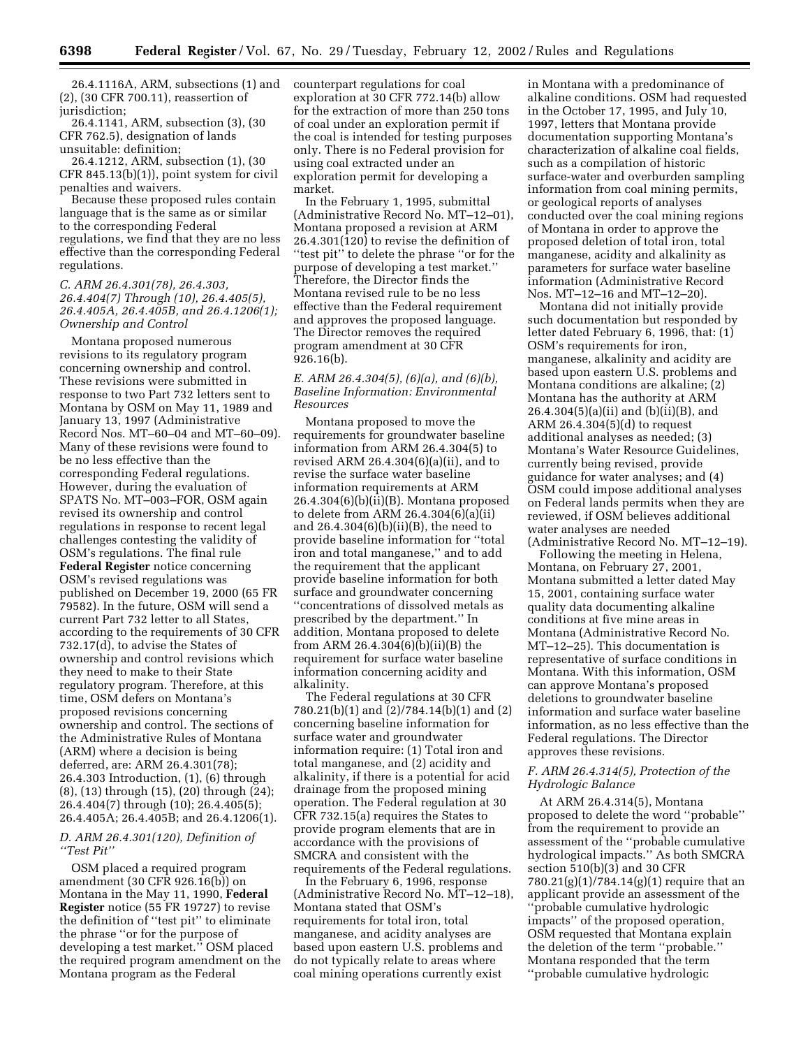26.4.1116A, ARM, subsections (1) and (2), (30 CFR 700.11), reassertion of jurisdiction;

26.4.1141, ARM, subsection (3), (30 CFR 762.5), designation of lands unsuitable: definition;

26.4.1212, ARM, subsection (1), (30 CFR 845.13(b)(1)), point system for civil penalties and waivers.

Because these proposed rules contain language that is the same as or similar to the corresponding Federal regulations, we find that they are no less effective than the corresponding Federal regulations.

# *C. ARM 26.4.301(78), 26.4.303, 26.4.404(7) Through (10), 26.4.405(5), 26.4.405A, 26.4.405B, and 26.4.1206(1); Ownership and Control*

Montana proposed numerous revisions to its regulatory program concerning ownership and control. These revisions were submitted in response to two Part 732 letters sent to Montana by OSM on May 11, 1989 and January 13, 1997 (Administrative Record Nos. MT–60–04 and MT–60–09). Many of these revisions were found to be no less effective than the corresponding Federal regulations. However, during the evaluation of SPATS No. MT–003–FOR, OSM again revised its ownership and control regulations in response to recent legal challenges contesting the validity of OSM's regulations. The final rule **Federal Register** notice concerning OSM's revised regulations was published on December 19, 2000 (65 FR 79582). In the future, OSM will send a current Part 732 letter to all States, according to the requirements of 30 CFR 732.17(d), to advise the States of ownership and control revisions which they need to make to their State regulatory program. Therefore, at this time, OSM defers on Montana's proposed revisions concerning ownership and control. The sections of the Administrative Rules of Montana (ARM) where a decision is being deferred, are: ARM 26.4.301(78); 26.4.303 Introduction, (1), (6) through (8), (13) through (15), (20) through (24); 26.4.404(7) through (10); 26.4.405(5); 26.4.405A; 26.4.405B; and 26.4.1206(1).

#### *D. ARM 26.4.301(120), Definition of ''Test Pit''*

OSM placed a required program amendment (30 CFR 926.16(b)) on Montana in the May 11, 1990, **Federal Register** notice (55 FR 19727) to revise the definition of ''test pit'' to eliminate the phrase ''or for the purpose of developing a test market.'' OSM placed the required program amendment on the Montana program as the Federal

counterpart regulations for coal exploration at 30 CFR 772.14(b) allow for the extraction of more than 250 tons of coal under an exploration permit if the coal is intended for testing purposes only. There is no Federal provision for using coal extracted under an exploration permit for developing a market.

In the February 1, 1995, submittal (Administrative Record No. MT–12–01), Montana proposed a revision at ARM 26.4.301(120) to revise the definition of ''test pit'' to delete the phrase ''or for the purpose of developing a test market.'' Therefore, the Director finds the Montana revised rule to be no less effective than the Federal requirement and approves the proposed language. The Director removes the required program amendment at 30 CFR 926.16(b).

# *E. ARM 26.4.304(5), (6)(a), and (6)(b), Baseline Information: Environmental Resources*

Montana proposed to move the requirements for groundwater baseline information from ARM 26.4.304(5) to revised ARM 26.4.304(6)(a)(ii), and to revise the surface water baseline information requirements at ARM 26.4.304(6)(b)(ii)(B). Montana proposed to delete from ARM 26.4.304(6)(a)(ii) and 26.4.304(6)(b)(ii)(B), the need to provide baseline information for ''total iron and total manganese,'' and to add the requirement that the applicant provide baseline information for both surface and groundwater concerning ''concentrations of dissolved metals as prescribed by the department.'' In addition, Montana proposed to delete from ARM 26.4.304(6)(b)(ii)(B) the requirement for surface water baseline information concerning acidity and alkalinity.

The Federal regulations at 30 CFR 780.21(b)(1) and (2)/784.14(b)(1) and (2) concerning baseline information for surface water and groundwater information require: (1) Total iron and total manganese, and (2) acidity and alkalinity, if there is a potential for acid drainage from the proposed mining operation. The Federal regulation at 30 CFR 732.15(a) requires the States to provide program elements that are in accordance with the provisions of SMCRA and consistent with the requirements of the Federal regulations.

In the February 6, 1996, response (Administrative Record No. MT–12–18), Montana stated that OSM's requirements for total iron, total manganese, and acidity analyses are based upon eastern U.S. problems and do not typically relate to areas where coal mining operations currently exist

in Montana with a predominance of alkaline conditions. OSM had requested in the October 17, 1995, and July 10, 1997, letters that Montana provide documentation supporting Montana's characterization of alkaline coal fields, such as a compilation of historic surface-water and overburden sampling information from coal mining permits, or geological reports of analyses conducted over the coal mining regions of Montana in order to approve the proposed deletion of total iron, total manganese, acidity and alkalinity as parameters for surface water baseline information (Administrative Record Nos. MT–12–16 and MT–12–20).

Montana did not initially provide such documentation but responded by letter dated February 6, 1996, that: (1) OSM's requirements for iron, manganese, alkalinity and acidity are based upon eastern U.S. problems and Montana conditions are alkaline; (2) Montana has the authority at ARM 26.4.304(5)(a)(ii) and (b)(ii)(B), and ARM 26.4.304(5)(d) to request additional analyses as needed; (3) Montana's Water Resource Guidelines, currently being revised, provide guidance for water analyses; and (4) OSM could impose additional analyses on Federal lands permits when they are reviewed, if OSM believes additional water analyses are needed (Administrative Record No. MT–12–19).

Following the meeting in Helena, Montana, on February 27, 2001, Montana submitted a letter dated May 15, 2001, containing surface water quality data documenting alkaline conditions at five mine areas in Montana (Administrative Record No. MT–12–25). This documentation is representative of surface conditions in Montana. With this information, OSM can approve Montana's proposed deletions to groundwater baseline information and surface water baseline information, as no less effective than the Federal regulations. The Director approves these revisions.

## *F. ARM 26.4.314(5), Protection of the Hydrologic Balance*

At ARM 26.4.314(5), Montana proposed to delete the word ''probable'' from the requirement to provide an assessment of the ''probable cumulative hydrological impacts.'' As both SMCRA section 510(b)(3) and 30 CFR 780.21(g)(1)/784.14(g)(1) require that an applicant provide an assessment of the ''probable cumulative hydrologic impacts'' of the proposed operation, OSM requested that Montana explain the deletion of the term ''probable.'' Montana responded that the term ''probable cumulative hydrologic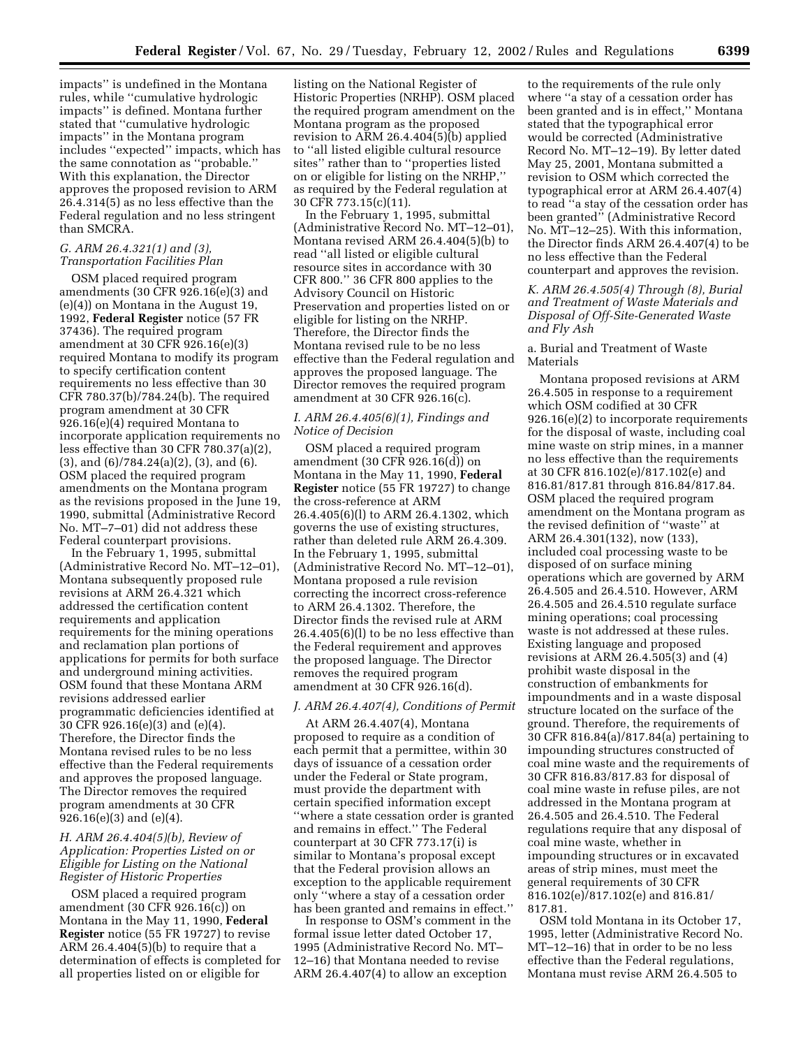impacts'' is undefined in the Montana rules, while ''cumulative hydrologic impacts'' is defined. Montana further stated that ''cumulative hydrologic impacts'' in the Montana program includes ''expected'' impacts, which has the same connotation as ''probable.'' With this explanation, the Director approves the proposed revision to ARM 26.4.314(5) as no less effective than the Federal regulation and no less stringent than SMCRA.

#### *G. ARM 26.4.321(1) and (3), Transportation Facilities Plan*

OSM placed required program amendments (30 CFR 926.16(e)(3) and (e)(4)) on Montana in the August 19, 1992, **Federal Register** notice (57 FR 37436). The required program amendment at 30 CFR 926.16(e)(3) required Montana to modify its program to specify certification content requirements no less effective than 30 CFR 780.37(b)/784.24(b). The required program amendment at 30 CFR 926.16(e)(4) required Montana to incorporate application requirements no less effective than 30 CFR 780.37(a)(2), (3), and (6)/784.24(a)(2), (3), and (6). OSM placed the required program amendments on the Montana program as the revisions proposed in the June 19, 1990, submittal (Administrative Record No. MT–7–01) did not address these Federal counterpart provisions.

In the February 1, 1995, submittal (Administrative Record No. MT–12–01), Montana subsequently proposed rule revisions at ARM 26.4.321 which addressed the certification content requirements and application requirements for the mining operations and reclamation plan portions of applications for permits for both surface and underground mining activities. OSM found that these Montana ARM revisions addressed earlier programmatic deficiencies identified at 30 CFR 926.16(e)(3) and (e)(4). Therefore, the Director finds the Montana revised rules to be no less effective than the Federal requirements and approves the proposed language. The Director removes the required program amendments at 30 CFR 926.16(e)(3) and (e)(4).

# *H. ARM 26.4.404(5)(b), Review of Application: Properties Listed on or Eligible for Listing on the National Register of Historic Properties*

OSM placed a required program amendment (30 CFR 926.16(c)) on Montana in the May 11, 1990, **Federal Register** notice (55 FR 19727) to revise ARM  $26.4.404(5)(b)$  to require that a determination of effects is completed for all properties listed on or eligible for

listing on the National Register of Historic Properties (NRHP). OSM placed the required program amendment on the Montana program as the proposed revision to ARM 26.4.404 $(5)$ (b) applied to ''all listed eligible cultural resource sites'' rather than to ''properties listed on or eligible for listing on the NRHP,'' as required by the Federal regulation at 30 CFR 773.15(c)(11).

In the February 1, 1995, submittal (Administrative Record No. MT–12–01), Montana revised ARM 26.4.404(5)(b) to read ''all listed or eligible cultural resource sites in accordance with 30 CFR 800.'' 36 CFR 800 applies to the Advisory Council on Historic Preservation and properties listed on or eligible for listing on the NRHP. Therefore, the Director finds the Montana revised rule to be no less effective than the Federal regulation and approves the proposed language. The Director removes the required program amendment at 30 CFR 926.16(c).

#### *I. ARM 26.4.405(6)(1), Findings and Notice of Decision*

OSM placed a required program amendment (30 CFR 926.16(d)) on Montana in the May 11, 1990, **Federal Register** notice (55 FR 19727) to change the cross-reference at ARM 26.4.405(6)(l) to ARM 26.4.1302, which governs the use of existing structures, rather than deleted rule ARM 26.4.309. In the February 1, 1995, submittal (Administrative Record No. MT–12–01), Montana proposed a rule revision correcting the incorrect cross-reference to ARM 26.4.1302. Therefore, the Director finds the revised rule at ARM 26.4.405(6)(l) to be no less effective than the Federal requirement and approves the proposed language. The Director removes the required program amendment at 30 CFR 926.16(d).

#### *J. ARM 26.4.407(4), Conditions of Permit*

At ARM 26.4.407(4), Montana proposed to require as a condition of each permit that a permittee, within 30 days of issuance of a cessation order under the Federal or State program, must provide the department with certain specified information except ''where a state cessation order is granted and remains in effect.'' The Federal counterpart at 30 CFR 773.17(i) is similar to Montana's proposal except that the Federal provision allows an exception to the applicable requirement only ''where a stay of a cessation order has been granted and remains in effect.''

In response to OSM's comment in the formal issue letter dated October 17, 1995 (Administrative Record No. MT– 12–16) that Montana needed to revise ARM 26.4.407(4) to allow an exception

to the requirements of the rule only where ''a stay of a cessation order has been granted and is in effect,'' Montana stated that the typographical error would be corrected (Administrative Record No. MT–12–19). By letter dated May 25, 2001, Montana submitted a revision to OSM which corrected the typographical error at ARM 26.4.407(4) to read ''a stay of the cessation order has been granted'' (Administrative Record No. MT–12–25). With this information, the Director finds ARM 26.4.407(4) to be no less effective than the Federal counterpart and approves the revision.

*K. ARM 26.4.505(4) Through (8), Burial and Treatment of Waste Materials and Disposal of Off-Site-Generated Waste and Fly Ash*

## a. Burial and Treatment of Waste Materials

Montana proposed revisions at ARM 26.4.505 in response to a requirement which OSM codified at 30 CFR 926.16(e)(2) to incorporate requirements for the disposal of waste, including coal mine waste on strip mines, in a manner no less effective than the requirements at 30 CFR 816.102(e)/817.102(e) and 816.81/817.81 through 816.84/817.84. OSM placed the required program amendment on the Montana program as the revised definition of ''waste'' at ARM 26.4.301(132), now (133), included coal processing waste to be disposed of on surface mining operations which are governed by ARM 26.4.505 and 26.4.510. However, ARM 26.4.505 and 26.4.510 regulate surface mining operations; coal processing waste is not addressed at these rules. Existing language and proposed revisions at ARM 26.4.505(3) and (4) prohibit waste disposal in the construction of embankments for impoundments and in a waste disposal structure located on the surface of the ground. Therefore, the requirements of 30 CFR 816.84(a)/817.84(a) pertaining to impounding structures constructed of coal mine waste and the requirements of 30 CFR 816.83/817.83 for disposal of coal mine waste in refuse piles, are not addressed in the Montana program at 26.4.505 and 26.4.510. The Federal regulations require that any disposal of coal mine waste, whether in impounding structures or in excavated areas of strip mines, must meet the general requirements of 30 CFR 816.102(e)/817.102(e) and 816.81/ 817.81.

OSM told Montana in its October 17, 1995, letter (Administrative Record No. MT–12–16) that in order to be no less effective than the Federal regulations, Montana must revise ARM 26.4.505 to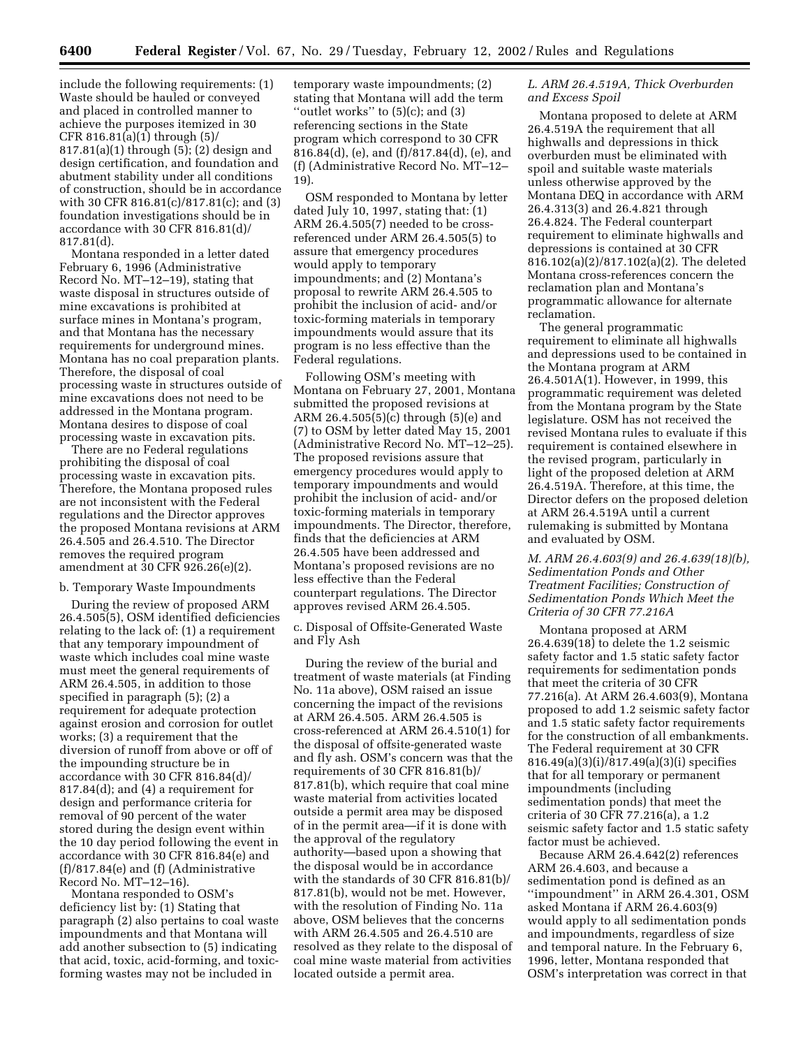include the following requirements: (1) Waste should be hauled or conveyed and placed in controlled manner to achieve the purposes itemized in 30 CFR 816.81(a)(1) through (5)/ 817.81(a)(1) through (5); (2) design and design certification, and foundation and abutment stability under all conditions of construction, should be in accordance with 30 CFR 816.81(c)/817.81(c); and (3) foundation investigations should be in accordance with 30 CFR 816.81(d)/ 817.81(d).

Montana responded in a letter dated February 6, 1996 (Administrative Record No. MT–12–19), stating that waste disposal in structures outside of mine excavations is prohibited at surface mines in Montana's program, and that Montana has the necessary requirements for underground mines. Montana has no coal preparation plants. Therefore, the disposal of coal processing waste in structures outside of mine excavations does not need to be addressed in the Montana program. Montana desires to dispose of coal processing waste in excavation pits.

There are no Federal regulations prohibiting the disposal of coal processing waste in excavation pits. Therefore, the Montana proposed rules are not inconsistent with the Federal regulations and the Director approves the proposed Montana revisions at ARM 26.4.505 and 26.4.510. The Director removes the required program amendment at 30 CFR 926.26(e)(2).

#### b. Temporary Waste Impoundments

During the review of proposed ARM 26.4.505(5), OSM identified deficiencies relating to the lack of: (1) a requirement that any temporary impoundment of waste which includes coal mine waste must meet the general requirements of ARM 26.4.505, in addition to those specified in paragraph (5); (2) a requirement for adequate protection against erosion and corrosion for outlet works; (3) a requirement that the diversion of runoff from above or off of the impounding structure be in accordance with 30 CFR 816.84(d)/ 817.84(d); and (4) a requirement for design and performance criteria for removal of 90 percent of the water stored during the design event within the 10 day period following the event in accordance with 30 CFR 816.84(e) and (f)/817.84(e) and (f) (Administrative Record No. MT–12–16).

Montana responded to OSM's deficiency list by: (1) Stating that paragraph (2) also pertains to coal waste impoundments and that Montana will add another subsection to (5) indicating that acid, toxic, acid-forming, and toxicforming wastes may not be included in

temporary waste impoundments; (2) stating that Montana will add the term "outlet works" to  $(5)(c)$ ; and  $(3)$ referencing sections in the State program which correspond to 30 CFR 816.84(d), (e), and (f)/817.84(d), (e), and (f) (Administrative Record No. MT–12– 19).

OSM responded to Montana by letter dated July 10, 1997, stating that: (1) ARM 26.4.505(7) needed to be crossreferenced under ARM 26.4.505(5) to assure that emergency procedures would apply to temporary impoundments; and (2) Montana's proposal to rewrite ARM 26.4.505 to prohibit the inclusion of acid- and/or toxic-forming materials in temporary impoundments would assure that its program is no less effective than the Federal regulations.

Following OSM's meeting with Montana on February 27, 2001, Montana submitted the proposed revisions at ARM 26.4.505(5)(c) through (5)(e) and (7) to OSM by letter dated May 15, 2001 (Administrative Record No. MT–12–25). The proposed revisions assure that emergency procedures would apply to temporary impoundments and would prohibit the inclusion of acid- and/or toxic-forming materials in temporary impoundments. The Director, therefore, finds that the deficiencies at ARM 26.4.505 have been addressed and Montana's proposed revisions are no less effective than the Federal counterpart regulations. The Director approves revised ARM 26.4.505.

c. Disposal of Offsite-Generated Waste and Fly Ash

During the review of the burial and treatment of waste materials (at Finding No. 11a above), OSM raised an issue concerning the impact of the revisions at ARM 26.4.505. ARM 26.4.505 is cross-referenced at ARM 26.4.510(1) for the disposal of offsite-generated waste and fly ash. OSM's concern was that the requirements of 30 CFR 816.81(b)/ 817.81(b), which require that coal mine waste material from activities located outside a permit area may be disposed of in the permit area—if it is done with the approval of the regulatory authority—based upon a showing that the disposal would be in accordance with the standards of 30 CFR 816.81(b)/ 817.81(b), would not be met. However, with the resolution of Finding No. 11a above, OSM believes that the concerns with ARM 26.4.505 and 26.4.510 are resolved as they relate to the disposal of coal mine waste material from activities located outside a permit area.

## *L. ARM 26.4.519A, Thick Overburden and Excess Spoil*

Montana proposed to delete at ARM 26.4.519A the requirement that all highwalls and depressions in thick overburden must be eliminated with spoil and suitable waste materials unless otherwise approved by the Montana DEQ in accordance with ARM 26.4.313(3) and 26.4.821 through 26.4.824. The Federal counterpart requirement to eliminate highwalls and depressions is contained at 30 CFR 816.102(a)(2)/817.102(a)(2). The deleted Montana cross-references concern the reclamation plan and Montana's programmatic allowance for alternate reclamation.

The general programmatic requirement to eliminate all highwalls and depressions used to be contained in the Montana program at ARM 26.4.501A(1). However, in 1999, this programmatic requirement was deleted from the Montana program by the State legislature. OSM has not received the revised Montana rules to evaluate if this requirement is contained elsewhere in the revised program, particularly in light of the proposed deletion at ARM 26.4.519A. Therefore, at this time, the Director defers on the proposed deletion at ARM 26.4.519A until a current rulemaking is submitted by Montana and evaluated by OSM.

# *M. ARM 26.4.603(9) and 26.4.639(18)(b), Sedimentation Ponds and Other Treatment Facilities; Construction of Sedimentation Ponds Which Meet the Criteria of 30 CFR 77.216A*

Montana proposed at ARM 26.4.639(18) to delete the 1.2 seismic safety factor and 1.5 static safety factor requirements for sedimentation ponds that meet the criteria of 30 CFR 77.216(a). At ARM 26.4.603(9), Montana proposed to add 1.2 seismic safety factor and 1.5 static safety factor requirements for the construction of all embankments. The Federal requirement at 30 CFR 816.49(a)(3)(i)/817.49(a)(3)(i) specifies that for all temporary or permanent impoundments (including sedimentation ponds) that meet the criteria of 30 CFR 77.216(a), a 1.2 seismic safety factor and 1.5 static safety factor must be achieved.

Because ARM 26.4.642(2) references ARM 26.4.603, and because a sedimentation pond is defined as an ''impoundment'' in ARM 26.4.301, OSM asked Montana if ARM 26.4.603(9) would apply to all sedimentation ponds and impoundments, regardless of size and temporal nature. In the February 6, 1996, letter, Montana responded that OSM's interpretation was correct in that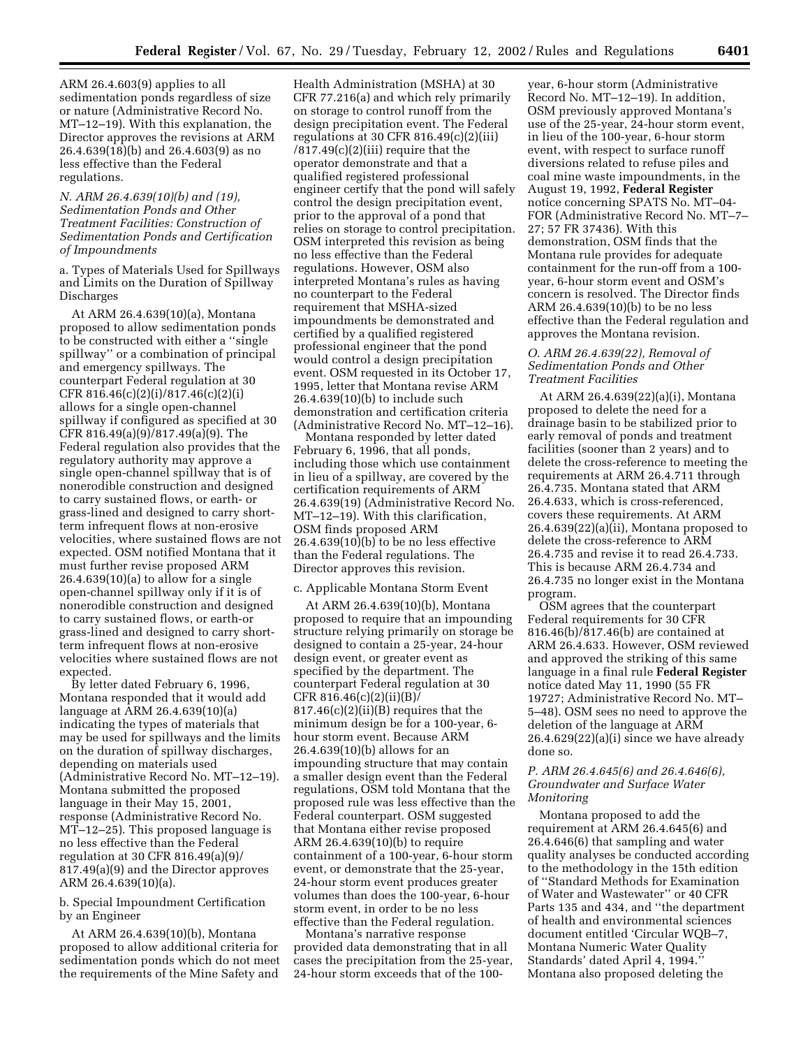ARM 26.4.603(9) applies to all sedimentation ponds regardless of size or nature (Administrative Record No. MT–12–19). With this explanation, the Director approves the revisions at ARM 26.4.639(18)(b) and 26.4.603(9) as no less effective than the Federal regulations.

## *N. ARM 26.4.639(10)(b) and (19), Sedimentation Ponds and Other Treatment Facilities: Construction of Sedimentation Ponds and Certification of Impoundments*

a. Types of Materials Used for Spillways and Limits on the Duration of Spillway Discharges

At ARM 26.4.639(10)(a), Montana proposed to allow sedimentation ponds to be constructed with either a ''single spillway'' or a combination of principal and emergency spillways. The counterpart Federal regulation at 30 CFR 816.46(c)(2)(i)/817.46(c)(2)(i) allows for a single open-channel spillway if configured as specified at 30 CFR 816.49(a)(9)/817.49(a)(9). The Federal regulation also provides that the regulatory authority may approve a single open-channel spillway that is of nonerodible construction and designed to carry sustained flows, or earth- or grass-lined and designed to carry shortterm infrequent flows at non-erosive velocities, where sustained flows are not expected. OSM notified Montana that it must further revise proposed ARM 26.4.639(10)(a) to allow for a single open-channel spillway only if it is of nonerodible construction and designed to carry sustained flows, or earth-or grass-lined and designed to carry shortterm infrequent flows at non-erosive velocities where sustained flows are not expected.

By letter dated February 6, 1996, Montana responded that it would add language at ARM 26.4.639(10)(a) indicating the types of materials that may be used for spillways and the limits on the duration of spillway discharges, depending on materials used (Administrative Record No. MT–12–19). Montana submitted the proposed language in their May 15, 2001, response (Administrative Record No. MT–12–25). This proposed language is no less effective than the Federal regulation at 30 CFR 816.49(a)(9)/ 817.49(a)(9) and the Director approves ARM 26.4.639(10)(a).

## b. Special Impoundment Certification by an Engineer

At ARM 26.4.639(10)(b), Montana proposed to allow additional criteria for sedimentation ponds which do not meet the requirements of the Mine Safety and

Health Administration (MSHA) at 30 CFR 77.216(a) and which rely primarily on storage to control runoff from the design precipitation event. The Federal regulations at 30 CFR 816.49(c)(2)(iii)  $/817.49(c)(2)(iii)$  require that the operator demonstrate and that a qualified registered professional engineer certify that the pond will safely control the design precipitation event, prior to the approval of a pond that relies on storage to control precipitation. OSM interpreted this revision as being no less effective than the Federal regulations. However, OSM also interpreted Montana's rules as having no counterpart to the Federal requirement that MSHA-sized impoundments be demonstrated and certified by a qualified registered professional engineer that the pond would control a design precipitation event. OSM requested in its October 17, 1995, letter that Montana revise ARM 26.4.639(10)(b) to include such demonstration and certification criteria (Administrative Record No. MT–12–16).

Montana responded by letter dated February 6, 1996, that all ponds, including those which use containment in lieu of a spillway, are covered by the certification requirements of ARM 26.4.639(19) (Administrative Record No. MT–12–19). With this clarification, OSM finds proposed ARM 26.4.639(10)(b) to be no less effective than the Federal regulations. The Director approves this revision.

#### c. Applicable Montana Storm Event

At ARM 26.4.639(10)(b), Montana proposed to require that an impounding structure relying primarily on storage be designed to contain a 25-year, 24-hour design event, or greater event as specified by the department. The counterpart Federal regulation at 30  $CFR 816.46(c)(2)(ii)(B)$  $817.46(c)(2)(ii)(B)$  requires that the minimum design be for a 100-year, 6 hour storm event. Because ARM 26.4.639(10)(b) allows for an impounding structure that may contain a smaller design event than the Federal regulations, OSM told Montana that the proposed rule was less effective than the Federal counterpart. OSM suggested that Montana either revise proposed ARM 26.4.639(10)(b) to require containment of a 100-year, 6-hour storm event, or demonstrate that the 25-year, 24-hour storm event produces greater volumes than does the 100-year, 6-hour storm event, in order to be no less effective than the Federal regulation.

Montana's narrative response provided data demonstrating that in all cases the precipitation from the 25-year, 24-hour storm exceeds that of the 100-

year, 6-hour storm (Administrative Record No. MT–12–19). In addition, OSM previously approved Montana's use of the 25-year, 24-hour storm event, in lieu of the 100-year, 6-hour storm event, with respect to surface runoff diversions related to refuse piles and coal mine waste impoundments, in the August 19, 1992, **Federal Register** notice concerning SPATS No. MT–04- FOR (Administrative Record No. MT–7– 27; 57 FR 37436). With this demonstration, OSM finds that the Montana rule provides for adequate containment for the run-off from a 100 year, 6-hour storm event and OSM's concern is resolved. The Director finds ARM 26.4.639(10)(b) to be no less effective than the Federal regulation and approves the Montana revision.

#### *O. ARM 26.4.639(22), Removal of Sedimentation Ponds and Other Treatment Facilities*

At ARM 26.4.639(22)(a)(i), Montana proposed to delete the need for a drainage basin to be stabilized prior to early removal of ponds and treatment facilities (sooner than 2 years) and to delete the cross-reference to meeting the requirements at ARM 26.4.711 through 26.4.735. Montana stated that ARM 26.4.633, which is cross-referenced, covers these requirements. At ARM 26.4.639(22)(a)(ii), Montana proposed to delete the cross-reference to ARM 26.4.735 and revise it to read 26.4.733. This is because ARM 26.4.734 and 26.4.735 no longer exist in the Montana program.

OSM agrees that the counterpart Federal requirements for 30 CFR 816.46(b)/817.46(b) are contained at ARM 26.4.633. However, OSM reviewed and approved the striking of this same language in a final rule **Federal Register** notice dated May 11, 1990 (55 FR 19727; Administrative Record No. MT– 5–48). OSM sees no need to approve the deletion of the language at ARM 26.4.629(22)(a)(i) since we have already done so.

## *P. ARM 26.4.645(6) and 26.4.646(6), Groundwater and Surface Water Monitoring*

Montana proposed to add the requirement at ARM 26.4.645(6) and 26.4.646(6) that sampling and water quality analyses be conducted according to the methodology in the 15th edition of ''Standard Methods for Examination of Water and Wastewater'' or 40 CFR Parts 135 and 434, and ''the department of health and environmental sciences document entitled 'Circular WQB–7, Montana Numeric Water Quality Standards' dated April 4, 1994.'' Montana also proposed deleting the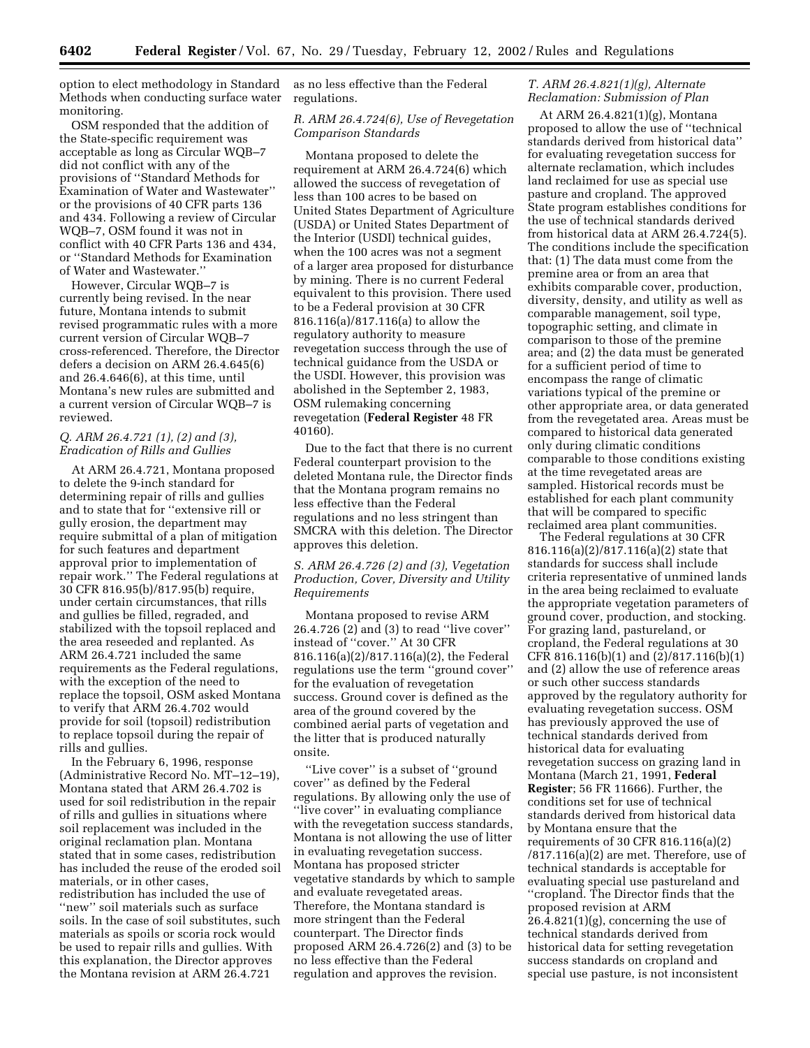option to elect methodology in Standard Methods when conducting surface water monitoring.

OSM responded that the addition of the State-specific requirement was acceptable as long as Circular WQB–7 did not conflict with any of the provisions of ''Standard Methods for Examination of Water and Wastewater'' or the provisions of 40 CFR parts 136 and 434. Following a review of Circular WQB–7, OSM found it was not in conflict with 40 CFR Parts 136 and 434, or ''Standard Methods for Examination of Water and Wastewater.''

However, Circular WQB–7 is currently being revised. In the near future, Montana intends to submit revised programmatic rules with a more current version of Circular WQB–7 cross-referenced. Therefore, the Director defers a decision on ARM 26.4.645(6) and 26.4.646(6), at this time, until Montana's new rules are submitted and a current version of Circular WQB–7 is reviewed.

#### *Q. ARM 26.4.721 (1), (2) and (3), Eradication of Rills and Gullies*

At ARM 26.4.721, Montana proposed to delete the 9-inch standard for determining repair of rills and gullies and to state that for ''extensive rill or gully erosion, the department may require submittal of a plan of mitigation for such features and department approval prior to implementation of repair work.'' The Federal regulations at 30 CFR 816.95(b)/817.95(b) require, under certain circumstances, that rills and gullies be filled, regraded, and stabilized with the topsoil replaced and the area reseeded and replanted. As ARM 26.4.721 included the same requirements as the Federal regulations, with the exception of the need to replace the topsoil, OSM asked Montana to verify that ARM 26.4.702 would provide for soil (topsoil) redistribution to replace topsoil during the repair of rills and gullies.

In the February 6, 1996, response (Administrative Record No. MT–12–19), Montana stated that ARM 26.4.702 is used for soil redistribution in the repair of rills and gullies in situations where soil replacement was included in the original reclamation plan. Montana stated that in some cases, redistribution has included the reuse of the eroded soil materials, or in other cases, redistribution has included the use of "new" soil materials such as surface soils. In the case of soil substitutes, such materials as spoils or scoria rock would be used to repair rills and gullies. With this explanation, the Director approves the Montana revision at ARM 26.4.721

as no less effective than the Federal regulations.

# *R. ARM 26.4.724(6), Use of Revegetation Comparison Standards*

Montana proposed to delete the requirement at ARM 26.4.724(6) which allowed the success of revegetation of less than 100 acres to be based on United States Department of Agriculture (USDA) or United States Department of the Interior (USDI) technical guides, when the 100 acres was not a segment of a larger area proposed for disturbance by mining. There is no current Federal equivalent to this provision. There used to be a Federal provision at 30 CFR 816.116(a)/817.116(a) to allow the regulatory authority to measure revegetation success through the use of technical guidance from the USDA or the USDI. However, this provision was abolished in the September 2, 1983, OSM rulemaking concerning revegetation (**Federal Register** 48 FR 40160).

Due to the fact that there is no current Federal counterpart provision to the deleted Montana rule, the Director finds that the Montana program remains no less effective than the Federal regulations and no less stringent than SMCRA with this deletion. The Director approves this deletion.

# *S. ARM 26.4.726 (2) and (3), Vegetation Production, Cover, Diversity and Utility Requirements*

Montana proposed to revise ARM 26.4.726 (2) and (3) to read ''live cover'' instead of ''cover.'' At 30 CFR 816.116(a)(2)/817.116(a)(2), the Federal regulations use the term ''ground cover'' for the evaluation of revegetation success. Ground cover is defined as the area of the ground covered by the combined aerial parts of vegetation and the litter that is produced naturally onsite.

"Live cover" is a subset of "ground cover'' as defined by the Federal regulations. By allowing only the use of ''live cover'' in evaluating compliance with the revegetation success standards, Montana is not allowing the use of litter in evaluating revegetation success. Montana has proposed stricter vegetative standards by which to sample and evaluate revegetated areas. Therefore, the Montana standard is more stringent than the Federal counterpart. The Director finds proposed ARM 26.4.726(2) and (3) to be no less effective than the Federal regulation and approves the revision.

# *T. ARM 26.4.821(1)(g), Alternate Reclamation: Submission of Plan*

At ARM 26.4.821(1)(g), Montana proposed to allow the use of ''technical standards derived from historical data'' for evaluating revegetation success for alternate reclamation, which includes land reclaimed for use as special use pasture and cropland. The approved State program establishes conditions for the use of technical standards derived from historical data at ARM 26.4.724(5). The conditions include the specification that: (1) The data must come from the premine area or from an area that exhibits comparable cover, production, diversity, density, and utility as well as comparable management, soil type, topographic setting, and climate in comparison to those of the premine area; and (2) the data must be generated for a sufficient period of time to encompass the range of climatic variations typical of the premine or other appropriate area, or data generated from the revegetated area. Areas must be compared to historical data generated only during climatic conditions comparable to those conditions existing at the time revegetated areas are sampled. Historical records must be established for each plant community that will be compared to specific reclaimed area plant communities.

The Federal regulations at 30 CFR 816.116(a)(2)/817.116(a)(2) state that standards for success shall include criteria representative of unmined lands in the area being reclaimed to evaluate the appropriate vegetation parameters of ground cover, production, and stocking. For grazing land, pastureland, or cropland, the Federal regulations at 30 CFR 816.116(b)(1) and (2)/817.116(b)(1) and (2) allow the use of reference areas or such other success standards approved by the regulatory authority for evaluating revegetation success. OSM has previously approved the use of technical standards derived from historical data for evaluating revegetation success on grazing land in Montana (March 21, 1991, **Federal Register**; 56 FR 11666). Further, the conditions set for use of technical standards derived from historical data by Montana ensure that the requirements of 30 CFR 816.116(a)(2)  $/817.116(a)(2)$  are met. Therefore, use of technical standards is acceptable for evaluating special use pastureland and ''cropland. The Director finds that the proposed revision at ARM 26.4.821(1)(g), concerning the use of technical standards derived from historical data for setting revegetation success standards on cropland and special use pasture, is not inconsistent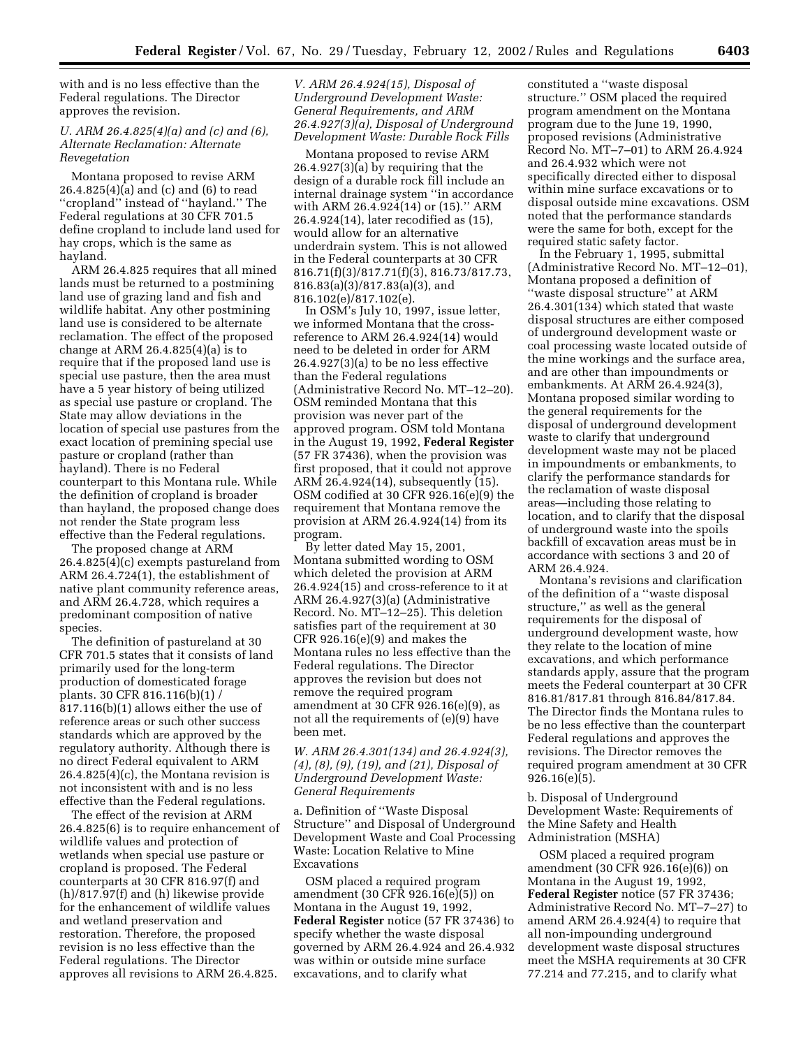with and is no less effective than the Federal regulations. The Director approves the revision.

## *U. ARM 26.4.825(4)(a) and (c) and (6), Alternate Reclamation: Alternate Revegetation*

Montana proposed to revise ARM 26.4.825(4)(a) and (c) and (6) to read ''cropland'' instead of ''hayland.'' The Federal regulations at 30 CFR 701.5 define cropland to include land used for hay crops, which is the same as hayland.

ARM 26.4.825 requires that all mined lands must be returned to a postmining land use of grazing land and fish and wildlife habitat. Any other postmining land use is considered to be alternate reclamation. The effect of the proposed change at ARM  $26.4.825(4)(a)$  is to require that if the proposed land use is special use pasture, then the area must have a 5 year history of being utilized as special use pasture or cropland. The State may allow deviations in the location of special use pastures from the exact location of premining special use pasture or cropland (rather than hayland). There is no Federal counterpart to this Montana rule. While the definition of cropland is broader than hayland, the proposed change does not render the State program less effective than the Federal regulations.

The proposed change at ARM 26.4.825(4)(c) exempts pastureland from ARM 26.4.724(1), the establishment of native plant community reference areas, and ARM 26.4.728, which requires a predominant composition of native species.

The definition of pastureland at 30 CFR 701.5 states that it consists of land primarily used for the long-term production of domesticated forage plants. 30 CFR 816.116(b)(1) / 817.116(b)(1) allows either the use of reference areas or such other success standards which are approved by the regulatory authority. Although there is no direct Federal equivalent to ARM 26.4.825(4)(c), the Montana revision is not inconsistent with and is no less effective than the Federal regulations.

The effect of the revision at ARM 26.4.825(6) is to require enhancement of wildlife values and protection of wetlands when special use pasture or cropland is proposed. The Federal counterparts at 30 CFR 816.97(f) and (h)/817.97(f) and (h) likewise provide for the enhancement of wildlife values and wetland preservation and restoration. Therefore, the proposed revision is no less effective than the Federal regulations. The Director approves all revisions to ARM 26.4.825.

## *V. ARM 26.4.924(15), Disposal of Underground Development Waste: General Requirements, and ARM 26.4.927(3)(a), Disposal of Underground Development Waste: Durable Rock Fills*

Montana proposed to revise ARM 26.4.927(3)(a) by requiring that the design of a durable rock fill include an internal drainage system ''in accordance with ARM 26.4.924(14) or (15).'' ARM 26.4.924(14), later recodified as (15), would allow for an alternative underdrain system. This is not allowed in the Federal counterparts at 30 CFR 816.71(f)(3)/817.71(f)(3), 816.73/817.73, 816.83(a)(3)/817.83(a)(3), and 816.102(e)/817.102(e).

In OSM's July 10, 1997, issue letter, we informed Montana that the crossreference to ARM 26.4.924(14) would need to be deleted in order for ARM  $26.4.927(3)(a)$  to be no less effective than the Federal regulations (Administrative Record No. MT–12–20). OSM reminded Montana that this provision was never part of the approved program. OSM told Montana in the August 19, 1992, **Federal Register** (57 FR 37436), when the provision was first proposed, that it could not approve ARM 26.4.924(14), subsequently (15). OSM codified at 30 CFR 926.16(e)(9) the requirement that Montana remove the provision at ARM 26.4.924(14) from its program.

By letter dated May 15, 2001, Montana submitted wording to OSM which deleted the provision at ARM 26.4.924(15) and cross-reference to it at ARM 26.4.927(3)(a) (Administrative Record. No. MT–12–25). This deletion satisfies part of the requirement at 30 CFR 926.16(e)(9) and makes the Montana rules no less effective than the Federal regulations. The Director approves the revision but does not remove the required program amendment at 30 CFR 926.16(e)(9), as not all the requirements of (e)(9) have been met.

## *W. ARM 26.4.301(134) and 26.4.924(3), (4), (8), (9), (19), and (21), Disposal of Underground Development Waste: General Requirements*

a. Definition of ''Waste Disposal Structure'' and Disposal of Underground Development Waste and Coal Processing Waste: Location Relative to Mine Excavations

OSM placed a required program amendment (30 CFR 926.16(e)(5)) on Montana in the August 19, 1992, **Federal Register** notice (57 FR 37436) to specify whether the waste disposal governed by ARM 26.4.924 and 26.4.932 was within or outside mine surface excavations, and to clarify what

constituted a ''waste disposal structure.'' OSM placed the required program amendment on the Montana program due to the June 19, 1990, proposed revisions (Administrative Record No. MT–7–01) to ARM 26.4.924 and 26.4.932 which were not specifically directed either to disposal within mine surface excavations or to disposal outside mine excavations. OSM noted that the performance standards were the same for both, except for the required static safety factor.

In the February 1, 1995, submittal (Administrative Record No. MT–12–01), Montana proposed a definition of ''waste disposal structure'' at ARM 26.4.301(134) which stated that waste disposal structures are either composed of underground development waste or coal processing waste located outside of the mine workings and the surface area, and are other than impoundments or embankments. At ARM 26.4.924(3), Montana proposed similar wording to the general requirements for the disposal of underground development waste to clarify that underground development waste may not be placed in impoundments or embankments, to clarify the performance standards for the reclamation of waste disposal areas—including those relating to location, and to clarify that the disposal of underground waste into the spoils backfill of excavation areas must be in accordance with sections 3 and 20 of ARM 26.4.924.

Montana's revisions and clarification of the definition of a ''waste disposal structure,'' as well as the general requirements for the disposal of underground development waste, how they relate to the location of mine excavations, and which performance standards apply, assure that the program meets the Federal counterpart at 30 CFR 816.81/817.81 through 816.84/817.84. The Director finds the Montana rules to be no less effective than the counterpart Federal regulations and approves the revisions. The Director removes the required program amendment at 30 CFR 926.16(e)(5).

b. Disposal of Underground Development Waste: Requirements of the Mine Safety and Health Administration (MSHA)

OSM placed a required program amendment (30 CFR 926.16(e)(6)) on Montana in the August 19, 1992, **Federal Register** notice (57 FR 37436; Administrative Record No. MT–7–27) to amend ARM 26.4.924(4) to require that all non-impounding underground development waste disposal structures meet the MSHA requirements at 30 CFR 77.214 and 77.215, and to clarify what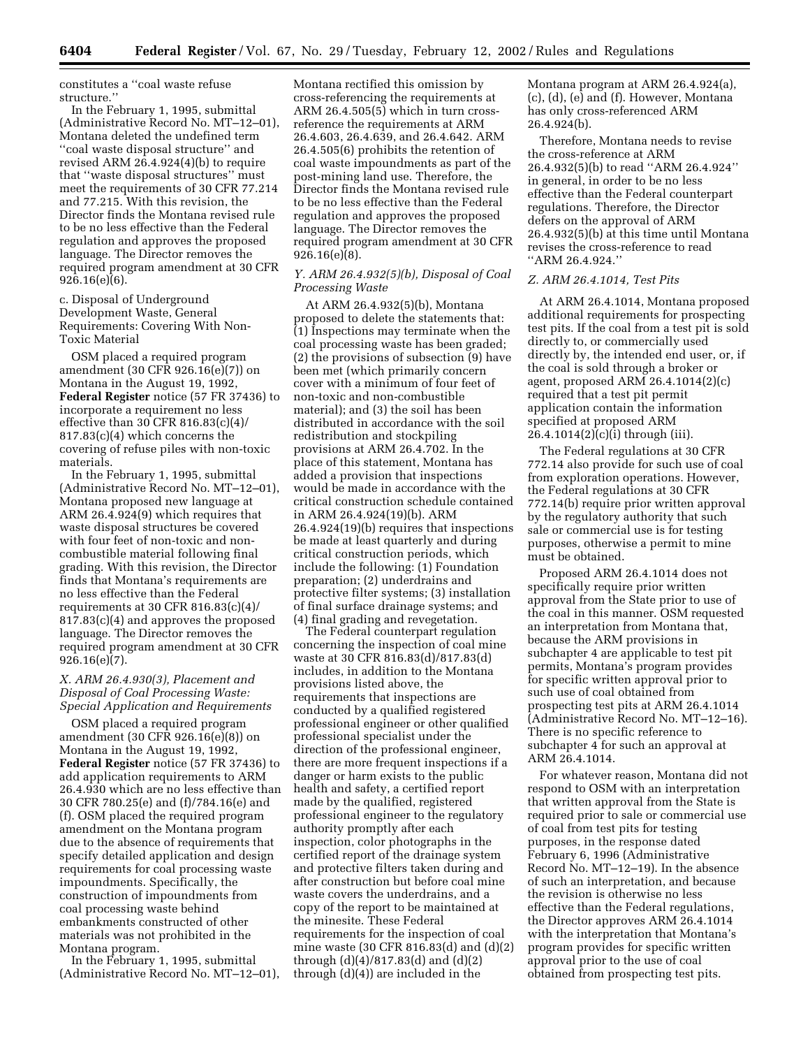constitutes a ''coal waste refuse structure.''

In the February 1, 1995, submittal (Administrative Record No. MT–12–01), Montana deleted the undefined term ''coal waste disposal structure'' and revised ARM 26.4.924(4)(b) to require that ''waste disposal structures'' must meet the requirements of 30 CFR 77.214 and 77.215. With this revision, the Director finds the Montana revised rule to be no less effective than the Federal regulation and approves the proposed language. The Director removes the required program amendment at 30 CFR 926.16(e)(6).

c. Disposal of Underground Development Waste, General Requirements: Covering With Non-Toxic Material

OSM placed a required program amendment (30 CFR 926.16(e)(7)) on Montana in the August 19, 1992, **Federal Register** notice (57 FR 37436) to incorporate a requirement no less effective than 30 CFR 816.83(c)(4)/ 817.83(c)(4) which concerns the covering of refuse piles with non-toxic materials.

In the February 1, 1995, submittal (Administrative Record No. MT–12–01), Montana proposed new language at ARM 26.4.924(9) which requires that waste disposal structures be covered with four feet of non-toxic and noncombustible material following final grading. With this revision, the Director finds that Montana's requirements are no less effective than the Federal requirements at 30 CFR 816.83(c)(4)/ 817.83(c)(4) and approves the proposed language. The Director removes the required program amendment at 30 CFR 926.16(e)(7).

## *X. ARM 26.4.930(3), Placement and Disposal of Coal Processing Waste: Special Application and Requirements*

OSM placed a required program amendment (30 CFR 926.16(e)(8)) on Montana in the August 19, 1992, **Federal Register** notice (57 FR 37436) to add application requirements to ARM 26.4.930 which are no less effective than 30 CFR 780.25(e) and (f)/784.16(e) and (f). OSM placed the required program amendment on the Montana program due to the absence of requirements that specify detailed application and design requirements for coal processing waste impoundments. Specifically, the construction of impoundments from coal processing waste behind embankments constructed of other materials was not prohibited in the Montana program.

In the February 1, 1995, submittal (Administrative Record No. MT–12–01),

Montana rectified this omission by cross-referencing the requirements at ARM 26.4.505(5) which in turn crossreference the requirements at ARM 26.4.603, 26.4.639, and 26.4.642. ARM 26.4.505(6) prohibits the retention of coal waste impoundments as part of the post-mining land use. Therefore, the Director finds the Montana revised rule to be no less effective than the Federal regulation and approves the proposed language. The Director removes the required program amendment at 30 CFR 926.16(e)(8).

## *Y. ARM 26.4.932(5)(b), Disposal of Coal Processing Waste*

At ARM 26.4.932(5)(b), Montana proposed to delete the statements that: (1) Inspections may terminate when the coal processing waste has been graded; (2) the provisions of subsection (9) have been met (which primarily concern cover with a minimum of four feet of non-toxic and non-combustible material); and (3) the soil has been distributed in accordance with the soil redistribution and stockpiling provisions at ARM 26.4.702. In the place of this statement, Montana has added a provision that inspections would be made in accordance with the critical construction schedule contained in ARM 26.4.924(19)(b). ARM 26.4.924(19)(b) requires that inspections be made at least quarterly and during critical construction periods, which include the following: (1) Foundation preparation; (2) underdrains and protective filter systems; (3) installation of final surface drainage systems; and (4) final grading and revegetation.

The Federal counterpart regulation concerning the inspection of coal mine waste at 30 CFR 816.83(d)/817.83(d) includes, in addition to the Montana provisions listed above, the requirements that inspections are conducted by a qualified registered professional engineer or other qualified professional specialist under the direction of the professional engineer, there are more frequent inspections if a danger or harm exists to the public health and safety, a certified report made by the qualified, registered professional engineer to the regulatory authority promptly after each inspection, color photographs in the certified report of the drainage system and protective filters taken during and after construction but before coal mine waste covers the underdrains, and a copy of the report to be maintained at the minesite. These Federal requirements for the inspection of coal mine waste (30 CFR 816.83(d) and (d)(2) through (d)(4)/817.83(d) and (d)(2) through (d)(4)) are included in the

Montana program at ARM 26.4.924(a), (c), (d), (e) and (f). However, Montana has only cross-referenced ARM 26.4.924(b).

Therefore, Montana needs to revise the cross-reference at ARM 26.4.932(5)(b) to read ''ARM 26.4.924'' in general, in order to be no less effective than the Federal counterpart regulations. Therefore, the Director defers on the approval of ARM 26.4.932(5)(b) at this time until Montana revises the cross-reference to read ''ARM 26.4.924.''

#### *Z. ARM 26.4.1014, Test Pits*

At ARM 26.4.1014, Montana proposed additional requirements for prospecting test pits. If the coal from a test pit is sold directly to, or commercially used directly by, the intended end user, or, if the coal is sold through a broker or agent, proposed ARM 26.4.1014(2)(c) required that a test pit permit application contain the information specified at proposed ARM 26.4.1014(2)(c)(i) through (iii).

The Federal regulations at 30 CFR 772.14 also provide for such use of coal from exploration operations. However, the Federal regulations at 30 CFR 772.14(b) require prior written approval by the regulatory authority that such sale or commercial use is for testing purposes, otherwise a permit to mine must be obtained.

Proposed ARM 26.4.1014 does not specifically require prior written approval from the State prior to use of the coal in this manner. OSM requested an interpretation from Montana that, because the ARM provisions in subchapter 4 are applicable to test pit permits, Montana's program provides for specific written approval prior to such use of coal obtained from prospecting test pits at ARM 26.4.1014 (Administrative Record No. MT–12–16). There is no specific reference to subchapter 4 for such an approval at ARM 26.4.1014.

For whatever reason, Montana did not respond to OSM with an interpretation that written approval from the State is required prior to sale or commercial use of coal from test pits for testing purposes, in the response dated February 6, 1996 (Administrative Record No. MT–12–19). In the absence of such an interpretation, and because the revision is otherwise no less effective than the Federal regulations, the Director approves ARM 26.4.1014 with the interpretation that Montana's program provides for specific written approval prior to the use of coal obtained from prospecting test pits.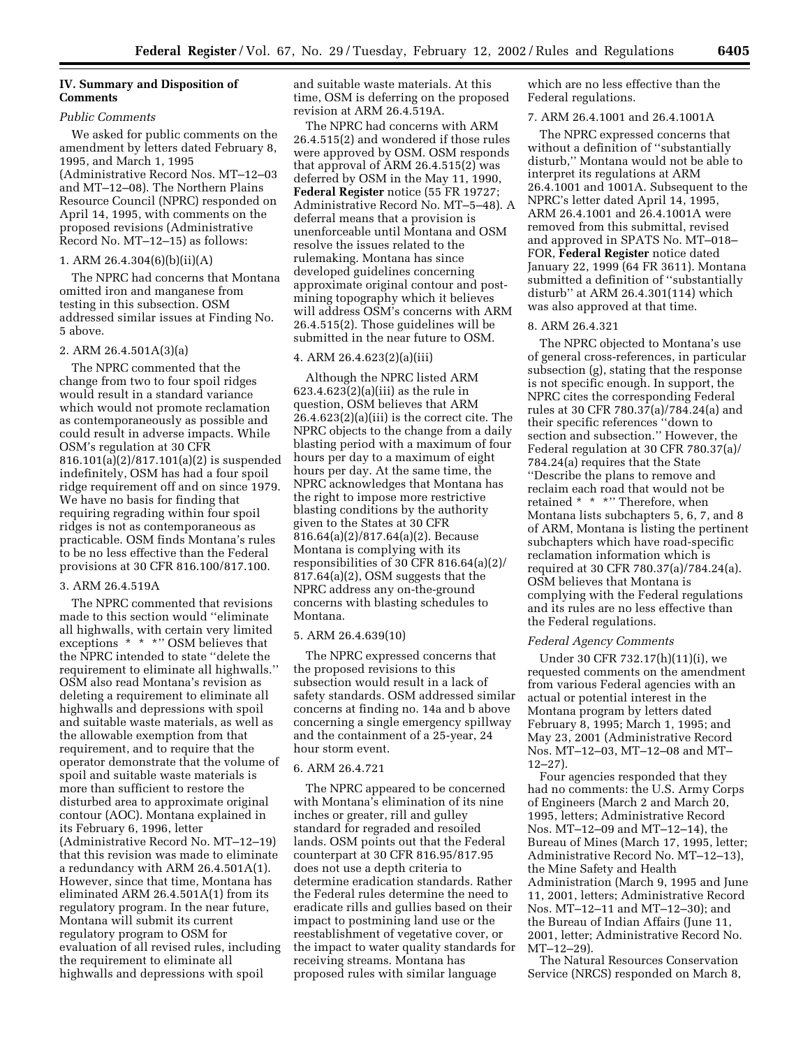# **IV. Summary and Disposition of Comments**

#### *Public Comments*

We asked for public comments on the amendment by letters dated February 8, 1995, and March 1, 1995 (Administrative Record Nos. MT–12–03 and MT–12–08). The Northern Plains Resource Council (NPRC) responded on April 14, 1995, with comments on the proposed revisions (Administrative Record No. MT–12–15) as follows:

# 1. ARM 26.4.304(6)(b)(ii)(A)

The NPRC had concerns that Montana omitted iron and manganese from testing in this subsection. OSM addressed similar issues at Finding No. 5 above.

#### 2. ARM 26.4.501A(3)(a)

The NPRC commented that the change from two to four spoil ridges would result in a standard variance which would not promote reclamation as contemporaneously as possible and could result in adverse impacts. While OSM's regulation at 30 CFR 816.101(a)(2)/817.101(a)(2) is suspended indefinitely, OSM has had a four spoil ridge requirement off and on since 1979. We have no basis for finding that requiring regrading within four spoil ridges is not as contemporaneous as practicable. OSM finds Montana's rules to be no less effective than the Federal provisions at 30 CFR 816.100/817.100.

#### 3. ARM 26.4.519A

The NPRC commented that revisions made to this section would ''eliminate all highwalls, with certain very limited exceptions \* \* \*" OSM believes that the NPRC intended to state ''delete the requirement to eliminate all highwalls.'' OSM also read Montana's revision as deleting a requirement to eliminate all highwalls and depressions with spoil and suitable waste materials, as well as the allowable exemption from that requirement, and to require that the operator demonstrate that the volume of spoil and suitable waste materials is more than sufficient to restore the disturbed area to approximate original contour (AOC). Montana explained in its February 6, 1996, letter (Administrative Record No. MT–12–19) that this revision was made to eliminate a redundancy with ARM 26.4.501A(1). However, since that time, Montana has eliminated ARM 26.4.501A(1) from its regulatory program. In the near future, Montana will submit its current regulatory program to OSM for evaluation of all revised rules, including the requirement to eliminate all highwalls and depressions with spoil

and suitable waste materials. At this time, OSM is deferring on the proposed revision at ARM 26.4.519A.

The NPRC had concerns with ARM 26.4.515(2) and wondered if those rules were approved by OSM. OSM responds that approval of ARM 26.4.515(2) was deferred by OSM in the May 11, 1990, **Federal Register** notice (55 FR 19727; Administrative Record No. MT–5–48). A deferral means that a provision is unenforceable until Montana and OSM resolve the issues related to the rulemaking. Montana has since developed guidelines concerning approximate original contour and postmining topography which it believes will address OSM's concerns with ARM 26.4.515(2). Those guidelines will be submitted in the near future to OSM.

## 4. ARM 26.4.623(2)(a)(iii)

Although the NPRC listed ARM  $623.4.623(2)(a)(iii)$  as the rule in question, OSM believes that ARM 26.4.623(2)(a)(iii) is the correct cite. The NPRC objects to the change from a daily blasting period with a maximum of four hours per day to a maximum of eight hours per day. At the same time, the NPRC acknowledges that Montana has the right to impose more restrictive blasting conditions by the authority given to the States at 30 CFR 816.64(a)(2)/817.64(a)(2). Because Montana is complying with its responsibilities of 30 CFR 816.64(a)(2)/ 817.64(a)(2), OSM suggests that the NPRC address any on-the-ground concerns with blasting schedules to Montana.

#### 5. ARM 26.4.639(10)

The NPRC expressed concerns that the proposed revisions to this subsection would result in a lack of safety standards. OSM addressed similar concerns at finding no. 14a and b above concerning a single emergency spillway and the containment of a 25-year, 24 hour storm event.

## 6. ARM 26.4.721

The NPRC appeared to be concerned with Montana's elimination of its nine inches or greater, rill and gulley standard for regraded and resoiled lands. OSM points out that the Federal counterpart at 30 CFR 816.95/817.95 does not use a depth criteria to determine eradication standards. Rather the Federal rules determine the need to eradicate rills and gullies based on their impact to postmining land use or the reestablishment of vegetative cover, or the impact to water quality standards for receiving streams. Montana has proposed rules with similar language

which are no less effective than the Federal regulations.

#### 7. ARM 26.4.1001 and 26.4.1001A

The NPRC expressed concerns that without a definition of ''substantially disturb,'' Montana would not be able to interpret its regulations at ARM 26.4.1001 and 1001A. Subsequent to the NPRC's letter dated April 14, 1995, ARM 26.4.1001 and 26.4.1001A were removed from this submittal, revised and approved in SPATS No. MT–018– FOR, **Federal Register** notice dated January 22, 1999 (64 FR 3611). Montana submitted a definition of ''substantially disturb'' at ARM 26.4.301(114) which was also approved at that time.

## 8. ARM 26.4.321

The NPRC objected to Montana's use of general cross-references, in particular subsection (g), stating that the response is not specific enough. In support, the NPRC cites the corresponding Federal rules at 30 CFR 780.37(a)/784.24(a) and their specific references ''down to section and subsection.'' However, the Federal regulation at 30 CFR 780.37(a)/ 784.24(a) requires that the State ''Describe the plans to remove and reclaim each road that would not be retained \* \* \*" Therefore, when Montana lists subchapters 5, 6, 7, and 8 of ARM, Montana is listing the pertinent subchapters which have road-specific reclamation information which is required at 30 CFR 780.37(a)/784.24(a). OSM believes that Montana is complying with the Federal regulations and its rules are no less effective than the Federal regulations.

#### *Federal Agency Comments*

Under 30 CFR 732.17(h)(11)(i), we requested comments on the amendment from various Federal agencies with an actual or potential interest in the Montana program by letters dated February 8, 1995; March 1, 1995; and May 23, 2001 (Administrative Record Nos. MT–12–03, MT–12–08 and MT– 12–27).

Four agencies responded that they had no comments: the U.S. Army Corps of Engineers (March 2 and March 20, 1995, letters; Administrative Record Nos. MT–12–09 and MT–12–14), the Bureau of Mines (March 17, 1995, letter; Administrative Record No. MT–12–13), the Mine Safety and Health Administration (March 9, 1995 and June 11, 2001, letters; Administrative Record Nos. MT–12–11 and MT–12–30); and the Bureau of Indian Affairs (June 11, 2001, letter; Administrative Record No. MT–12–29).

The Natural Resources Conservation Service (NRCS) responded on March 8,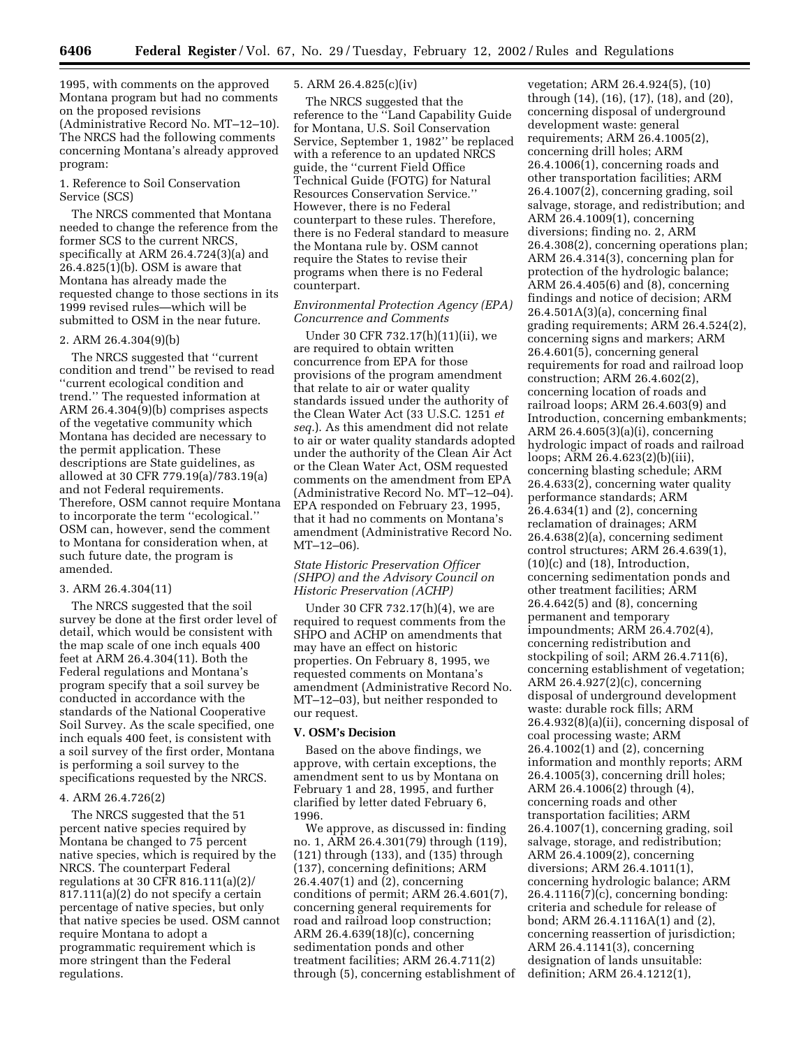1995, with comments on the approved Montana program but had no comments on the proposed revisions (Administrative Record No. MT–12–10). The NRCS had the following comments concerning Montana's already approved program:

#### 1. Reference to Soil Conservation Service (SCS)

The NRCS commented that Montana needed to change the reference from the former SCS to the current NRCS, specifically at ARM 26.4.724(3)(a) and 26.4.825(1)(b). OSM is aware that Montana has already made the requested change to those sections in its 1999 revised rules—which will be submitted to OSM in the near future.

## 2. ARM 26.4.304(9)(b)

The NRCS suggested that ''current condition and trend'' be revised to read ''current ecological condition and trend.'' The requested information at ARM 26.4.304(9)(b) comprises aspects of the vegetative community which Montana has decided are necessary to the permit application. These descriptions are State guidelines, as allowed at 30 CFR 779.19(a)/783.19(a) and not Federal requirements. Therefore, OSM cannot require Montana to incorporate the term ''ecological.'' OSM can, however, send the comment to Montana for consideration when, at such future date, the program is amended.

#### 3. ARM 26.4.304(11)

The NRCS suggested that the soil survey be done at the first order level of detail, which would be consistent with the map scale of one inch equals 400 feet at ARM 26.4.304(11). Both the Federal regulations and Montana's program specify that a soil survey be conducted in accordance with the standards of the National Cooperative Soil Survey. As the scale specified, one inch equals 400 feet, is consistent with a soil survey of the first order, Montana is performing a soil survey to the specifications requested by the NRCS.

## 4. ARM 26.4.726(2)

The NRCS suggested that the 51 percent native species required by Montana be changed to 75 percent native species, which is required by the NRCS. The counterpart Federal regulations at 30 CFR 816.111(a)(2)/ 817.111(a)(2) do not specify a certain percentage of native species, but only that native species be used. OSM cannot require Montana to adopt a programmatic requirement which is more stringent than the Federal regulations.

# 5. ARM 26.4.825(c)(iv)

The NRCS suggested that the reference to the ''Land Capability Guide for Montana, U.S. Soil Conservation Service, September 1, 1982'' be replaced with a reference to an updated NRCS guide, the ''current Field Office Technical Guide (FOTG) for Natural Resources Conservation Service.'' However, there is no Federal counterpart to these rules. Therefore, there is no Federal standard to measure the Montana rule by. OSM cannot require the States to revise their programs when there is no Federal counterpart.

# *Environmental Protection Agency (EPA) Concurrence and Comments*

Under 30 CFR 732.17(h)(11)(ii), we are required to obtain written concurrence from EPA for those provisions of the program amendment that relate to air or water quality standards issued under the authority of the Clean Water Act (33 U.S.C. 1251 *et seq.*). As this amendment did not relate to air or water quality standards adopted under the authority of the Clean Air Act or the Clean Water Act, OSM requested comments on the amendment from EPA (Administrative Record No. MT–12–04). EPA responded on February 23, 1995, that it had no comments on Montana's amendment (Administrative Record No. MT–12–06).

# *State Historic Preservation Officer (SHPO) and the Advisory Council on Historic Preservation (ACHP)*

Under 30 CFR 732.17(h)(4), we are required to request comments from the SHPO and ACHP on amendments that may have an effect on historic properties. On February 8, 1995, we requested comments on Montana's amendment (Administrative Record No. MT–12–03), but neither responded to our request.

# **V. OSM's Decision**

Based on the above findings, we approve, with certain exceptions, the amendment sent to us by Montana on February 1 and 28, 1995, and further clarified by letter dated February 6, 1996.

We approve, as discussed in: finding no. 1, ARM 26.4.301(79) through (119), (121) through (133), and (135) through (137), concerning definitions; ARM 26.4.407(1) and (2), concerning conditions of permit; ARM 26.4.601(7), concerning general requirements for road and railroad loop construction; ARM 26.4.639(18)(c), concerning sedimentation ponds and other treatment facilities; ARM 26.4.711(2) through (5), concerning establishment of

vegetation; ARM 26.4.924(5), (10) through (14), (16), (17), (18), and (20), concerning disposal of underground development waste: general requirements; ARM 26.4.1005(2), concerning drill holes; ARM 26.4.1006(1), concerning roads and other transportation facilities; ARM 26.4.1007(2), concerning grading, soil salvage, storage, and redistribution; and ARM 26.4.1009(1), concerning diversions; finding no. 2, ARM 26.4.308(2), concerning operations plan; ARM 26.4.314(3), concerning plan for protection of the hydrologic balance; ARM 26.4.405(6) and (8), concerning findings and notice of decision; ARM 26.4.501A(3)(a), concerning final grading requirements; ARM 26.4.524(2), concerning signs and markers; ARM 26.4.601(5), concerning general requirements for road and railroad loop construction; ARM 26.4.602(2), concerning location of roads and railroad loops; ARM 26.4.603(9) and Introduction, concerning embankments; ARM 26.4.605(3)(a)(i), concerning hydrologic impact of roads and railroad loops; ARM 26.4.623(2)(b)(iii), concerning blasting schedule; ARM 26.4.633(2), concerning water quality performance standards; ARM 26.4.634(1) and (2), concerning reclamation of drainages; ARM 26.4.638(2)(a), concerning sediment control structures; ARM 26.4.639(1), (10)(c) and (18), Introduction, concerning sedimentation ponds and other treatment facilities; ARM 26.4.642(5) and (8), concerning permanent and temporary impoundments; ARM 26.4.702(4), concerning redistribution and stockpiling of soil; ARM 26.4.711(6), concerning establishment of vegetation; ARM 26.4.927(2)(c), concerning disposal of underground development waste: durable rock fills; ARM 26.4.932(8)(a)(ii), concerning disposal of coal processing waste; ARM 26.4.1002(1) and (2), concerning information and monthly reports; ARM 26.4.1005(3), concerning drill holes; ARM 26.4.1006(2) through (4), concerning roads and other transportation facilities; ARM 26.4.1007(1), concerning grading, soil salvage, storage, and redistribution; ARM 26.4.1009(2), concerning diversions; ARM 26.4.1011(1), concerning hydrologic balance; ARM 26.4.1116(7)(c), concerning bonding: criteria and schedule for release of bond; ARM 26.4.1116A(1) and (2), concerning reassertion of jurisdiction; ARM 26.4.1141(3), concerning designation of lands unsuitable: definition; ARM 26.4.1212(1),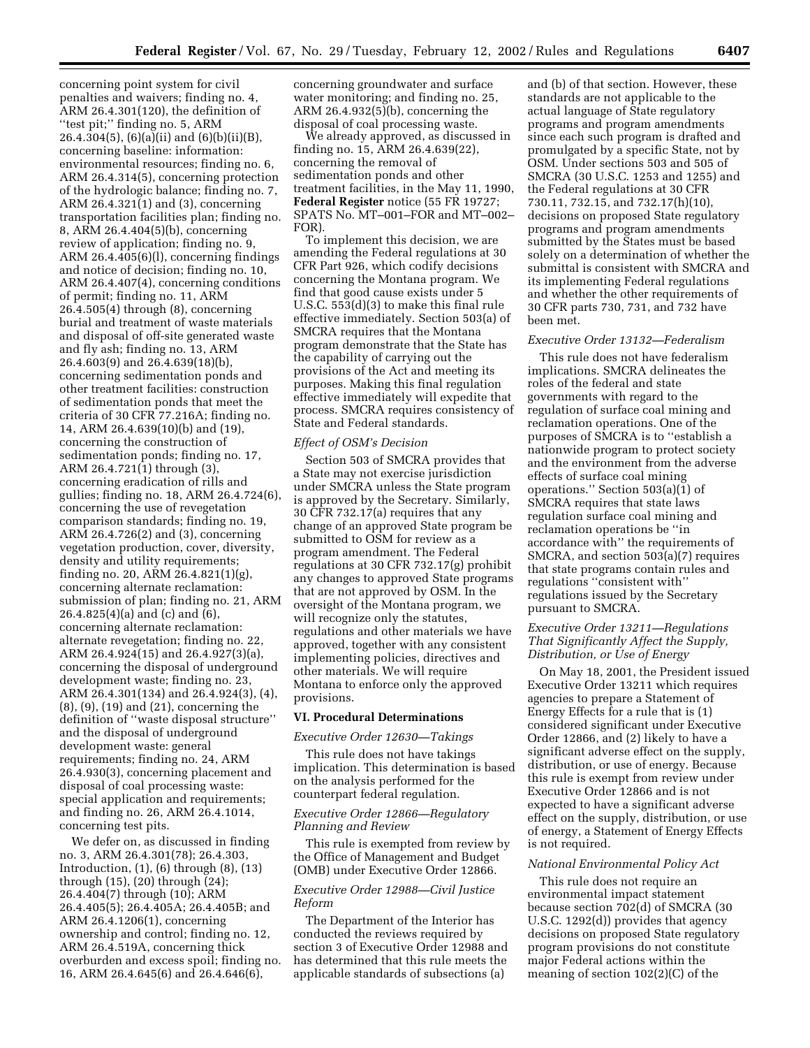concerning point system for civil penalties and waivers; finding no. 4, ARM 26.4.301(120), the definition of ''test pit;'' finding no. 5, ARM 26.4.304(5), (6)(a)(ii) and (6)(b)(ii)(B), concerning baseline: information: environmental resources; finding no. 6, ARM 26.4.314(5), concerning protection of the hydrologic balance; finding no. 7, ARM 26.4.321(1) and (3), concerning transportation facilities plan; finding no. 8, ARM 26.4.404(5)(b), concerning review of application; finding no. 9, ARM 26.4.405(6)(l), concerning findings and notice of decision; finding no. 10, ARM 26.4.407(4), concerning conditions of permit; finding no. 11, ARM 26.4.505(4) through (8), concerning burial and treatment of waste materials and disposal of off-site generated waste and fly ash; finding no. 13, ARM 26.4.603(9) and 26.4.639(18)(b), concerning sedimentation ponds and other treatment facilities: construction of sedimentation ponds that meet the criteria of 30 CFR 77.216A; finding no. 14, ARM 26.4.639(10)(b) and (19), concerning the construction of sedimentation ponds; finding no. 17, ARM 26.4.721(1) through (3), concerning eradication of rills and gullies; finding no. 18, ARM 26.4.724(6), concerning the use of revegetation comparison standards; finding no. 19, ARM 26.4.726(2) and (3), concerning vegetation production, cover, diversity, density and utility requirements; finding no. 20, ARM 26.4.821(1)(g), concerning alternate reclamation: submission of plan; finding no. 21, ARM 26.4.825(4)(a) and (c) and (6), concerning alternate reclamation: alternate revegetation; finding no. 22, ARM 26.4.924(15) and 26.4.927(3)(a), concerning the disposal of underground development waste; finding no. 23, ARM 26.4.301(134) and 26.4.924(3), (4), (8), (9), (19) and (21), concerning the definition of ''waste disposal structure'' and the disposal of underground development waste: general requirements; finding no. 24, ARM 26.4.930(3), concerning placement and disposal of coal processing waste: special application and requirements; and finding no. 26, ARM 26.4.1014, concerning test pits.

We defer on, as discussed in finding no. 3, ARM 26.4.301(78); 26.4.303, Introduction, (1), (6) through (8), (13) through (15), (20) through (24); 26.4.404(7) through (10); ARM 26.4.405(5); 26.4.405A; 26.4.405B; and ARM 26.4.1206(1), concerning ownership and control; finding no. 12, ARM 26.4.519A, concerning thick overburden and excess spoil; finding no. 16, ARM 26.4.645(6) and 26.4.646(6),

concerning groundwater and surface water monitoring; and finding no. 25, ARM 26.4.932(5)(b), concerning the disposal of coal processing waste.

We already approved, as discussed in finding no. 15, ARM 26.4.639(22), concerning the removal of sedimentation ponds and other treatment facilities, in the May 11, 1990, **Federal Register** notice (55 FR 19727; SPATS No. MT–001–FOR and MT–002– FOR).

To implement this decision, we are amending the Federal regulations at 30 CFR Part 926, which codify decisions concerning the Montana program. We find that good cause exists under 5 U.S.C. 553(d)(3) to make this final rule effective immediately. Section 503(a) of SMCRA requires that the Montana program demonstrate that the State has the capability of carrying out the provisions of the Act and meeting its purposes. Making this final regulation effective immediately will expedite that process. SMCRA requires consistency of State and Federal standards.

## *Effect of OSM's Decision*

Section 503 of SMCRA provides that a State may not exercise jurisdiction under SMCRA unless the State program is approved by the Secretary. Similarly, 30 CFR 732.17(a) requires that any change of an approved State program be submitted to OSM for review as a program amendment. The Federal regulations at 30 CFR 732.17(g) prohibit any changes to approved State programs that are not approved by OSM. In the oversight of the Montana program, we will recognize only the statutes, regulations and other materials we have approved, together with any consistent implementing policies, directives and other materials. We will require Montana to enforce only the approved provisions.

## **VI. Procedural Determinations**

*Executive Order 12630—Takings*

This rule does not have takings implication. This determination is based on the analysis performed for the counterpart federal regulation.

## *Executive Order 12866—Regulatory Planning and Review*

This rule is exempted from review by the Office of Management and Budget (OMB) under Executive Order 12866.

## *Executive Order 12988—Civil Justice Reform*

The Department of the Interior has conducted the reviews required by section 3 of Executive Order 12988 and has determined that this rule meets the applicable standards of subsections (a)

and (b) of that section. However, these standards are not applicable to the actual language of State regulatory programs and program amendments since each such program is drafted and promulgated by a specific State, not by OSM. Under sections 503 and 505 of SMCRA (30 U.S.C. 1253 and 1255) and the Federal regulations at 30 CFR 730.11, 732.15, and 732.17(h)(10), decisions on proposed State regulatory programs and program amendments submitted by the States must be based solely on a determination of whether the submittal is consistent with SMCRA and its implementing Federal regulations and whether the other requirements of 30 CFR parts 730, 731, and 732 have been met.

#### *Executive Order 13132—Federalism*

This rule does not have federalism implications. SMCRA delineates the roles of the federal and state governments with regard to the regulation of surface coal mining and reclamation operations. One of the purposes of SMCRA is to ''establish a nationwide program to protect society and the environment from the adverse effects of surface coal mining operations.'' Section 503(a)(1) of SMCRA requires that state laws regulation surface coal mining and reclamation operations be ''in accordance with'' the requirements of SMCRA, and section 503(a)(7) requires that state programs contain rules and regulations ''consistent with'' regulations issued by the Secretary pursuant to SMCRA.

## *Executive Order 13211—Regulations That Significantly Affect the Supply, Distribution, or Use of Energy*

On May 18, 2001, the President issued Executive Order 13211 which requires agencies to prepare a Statement of Energy Effects for a rule that is (1) considered significant under Executive Order 12866, and (2) likely to have a significant adverse effect on the supply, distribution, or use of energy. Because this rule is exempt from review under Executive Order 12866 and is not expected to have a significant adverse effect on the supply, distribution, or use of energy, a Statement of Energy Effects is not required.

#### *National Environmental Policy Act*

This rule does not require an environmental impact statement because section 702(d) of SMCRA (30 U.S.C. 1292(d)) provides that agency decisions on proposed State regulatory program provisions do not constitute major Federal actions within the meaning of section 102(2)(C) of the